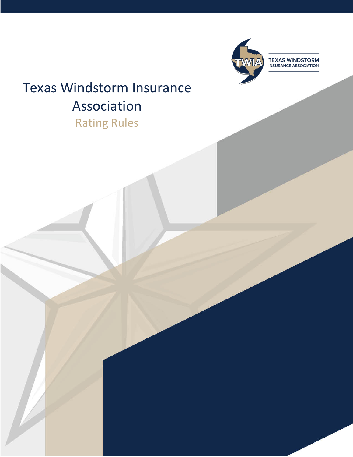

**TEXAS WINDSTORM**<br>INSURANCE ASSOCIATION

# Texas Windstorm Insurance Association Rating Rules

**Edition Date: May 7, 2021 1**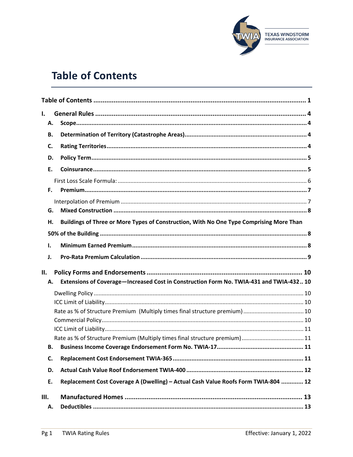

# <span id="page-1-0"></span>**Table of Contents**

| I.   |           |                                                                                         |  |
|------|-----------|-----------------------------------------------------------------------------------------|--|
|      | Α.        |                                                                                         |  |
|      | В.        |                                                                                         |  |
|      | C.        |                                                                                         |  |
|      | D.        |                                                                                         |  |
|      | Ε.        |                                                                                         |  |
|      |           |                                                                                         |  |
|      | Е.        |                                                                                         |  |
|      |           |                                                                                         |  |
|      | G.        |                                                                                         |  |
|      | н.        | Buildings of Three or More Types of Construction, With No One Type Comprising More Than |  |
|      |           |                                                                                         |  |
| 1.   |           |                                                                                         |  |
| J.   |           |                                                                                         |  |
|      |           |                                                                                         |  |
| II.  |           |                                                                                         |  |
|      | А.        | Extensions of Coverage-Increased Cost in Construction Form No. TWIA-431 and TWIA-432 10 |  |
|      |           |                                                                                         |  |
|      |           |                                                                                         |  |
|      |           |                                                                                         |  |
|      |           |                                                                                         |  |
|      |           |                                                                                         |  |
|      |           |                                                                                         |  |
|      | <b>B.</b> |                                                                                         |  |
|      | C.        |                                                                                         |  |
|      | D.        |                                                                                         |  |
|      | Ε.        | Replacement Cost Coverage A (Dwelling) - Actual Cash Value Roofs Form TWIA-804  12      |  |
| III. |           |                                                                                         |  |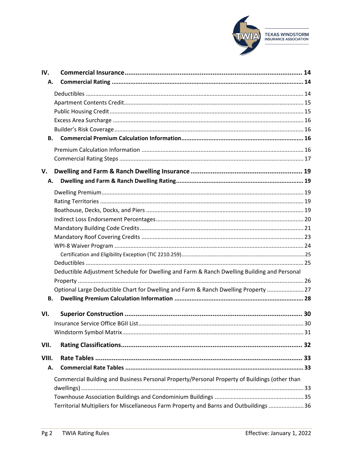

| IV.   |                                                                                               |  |
|-------|-----------------------------------------------------------------------------------------------|--|
| А.    |                                                                                               |  |
|       |                                                                                               |  |
|       |                                                                                               |  |
|       |                                                                                               |  |
|       |                                                                                               |  |
|       |                                                                                               |  |
| В.    |                                                                                               |  |
|       |                                                                                               |  |
|       |                                                                                               |  |
| V.    |                                                                                               |  |
|       |                                                                                               |  |
| А.    |                                                                                               |  |
|       |                                                                                               |  |
|       |                                                                                               |  |
|       |                                                                                               |  |
|       |                                                                                               |  |
|       |                                                                                               |  |
|       |                                                                                               |  |
|       |                                                                                               |  |
|       |                                                                                               |  |
|       | Deductible Adjustment Schedule for Dwelling and Farm & Ranch Dwelling Building and Personal   |  |
|       |                                                                                               |  |
|       | Optional Large Deductible Chart for Dwelling and Farm & Ranch Dwelling Property  27           |  |
| В.    |                                                                                               |  |
|       |                                                                                               |  |
| VI.   |                                                                                               |  |
|       |                                                                                               |  |
|       |                                                                                               |  |
| VII.  |                                                                                               |  |
| VIII. |                                                                                               |  |
| А.    |                                                                                               |  |
|       | Commercial Building and Business Personal Property/Personal Property of Buildings (other than |  |
|       |                                                                                               |  |
|       |                                                                                               |  |
|       | Territorial Multipliers for Miscellaneous Farm Property and Barns and Outbuildings  36        |  |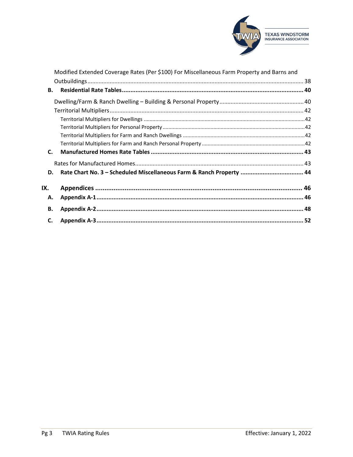

|           | Modified Extended Coverage Rates (Per \$100) For Miscellaneous Farm Property and Barns and |  |
|-----------|--------------------------------------------------------------------------------------------|--|
|           |                                                                                            |  |
| <b>B.</b> |                                                                                            |  |
|           |                                                                                            |  |
|           |                                                                                            |  |
|           |                                                                                            |  |
|           |                                                                                            |  |
|           |                                                                                            |  |
|           |                                                                                            |  |
| C.        |                                                                                            |  |
|           |                                                                                            |  |
| D.        | Rate Chart No. 3 - Scheduled Miscellaneous Farm & Ranch Property  44                       |  |
| IX.       |                                                                                            |  |
| Α.        |                                                                                            |  |
| В.        |                                                                                            |  |
| C.        |                                                                                            |  |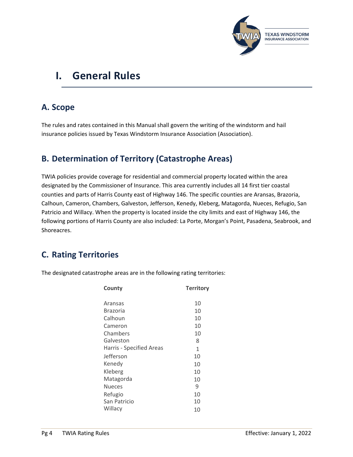

# <span id="page-4-0"></span>**I. General Rules**

# <span id="page-4-1"></span>**A. Scope**

The rules and rates contained in this Manual shall govern the writing of the windstorm and hail insurance policies issued by Texas Windstorm Insurance Association (Association).

## <span id="page-4-2"></span>**B. Determination of Territory (Catastrophe Areas)**

TWIA policies provide coverage for residential and commercial property located within the area designated by the Commissioner of Insurance. This area currently includes all 14 first tier coastal counties and parts of Harris County east of Highway 146. The specific counties are Aransas, Brazoria, Calhoun, Cameron, Chambers, Galveston, Jefferson, Kenedy, Kleberg, Matagorda, Nueces, Refugio, San Patricio and Willacy. When the property is located inside the city limits and east of Highway 146, the following portions of Harris County are also included: La Porte, Morgan's Point, Pasadena, Seabrook, and Shoreacres.

# <span id="page-4-3"></span>**C. Rating Territories**

The designated catastrophe areas are in the following rating territories:

| County                   | <b>Territory</b> |
|--------------------------|------------------|
| Aransas                  | 10               |
| <b>Brazoria</b>          | 10               |
| Calhoun                  | 10               |
| Cameron                  | 10               |
| Chambers                 | 10               |
| Galveston                | 8                |
| Harris - Specified Areas | 1                |
| Jefferson                | 10               |
| Kenedy                   | 10               |
| Kleberg                  | 10               |
| Matagorda                | 10               |
| <b>Nueces</b>            | 9                |
| Refugio                  | 10               |
| San Patricio             | 10               |
| Willacy                  | 10               |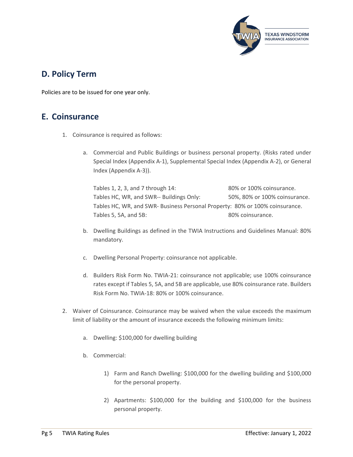

## <span id="page-5-0"></span>**D. Policy Term**

Policies are to be issued for one year only.

## <span id="page-5-1"></span>**E. Coinsurance**

- 1. Coinsurance is required as follows:
	- a. Commercial and Public Buildings or business personal property. (Risks rated under Special Index (Appendix A-1), Supplemental Special Index (Appendix A-2), or General Index (Appendix A-3)).

Tables 1, 2, 3, and 7 through 14: 80% or 100% coinsurance. Tables HC, WR, and SWR-- Buildings Only: 50%, 80% or 100% coinsurance. Tables HC, WR, and SWR- Business Personal Property: 80% or 100% coinsurance. Tables 5, 5A, and 5B: 80% coinsurance.

- b. Dwelling Buildings as defined in the TWIA Instructions and Guidelines Manual: 80% mandatory.
- c. Dwelling Personal Property: coinsurance not applicable.
- d. Builders Risk Form No. TWIA-21: coinsurance not applicable; use 100% coinsurance rates except if Tables 5, 5A, and 5B are applicable, use 80% coinsurance rate. Builders Risk Form No. TWIA-18: 80% or 100% coinsurance.
- 2. Waiver of Coinsurance. Coinsurance may be waived when the value exceeds the maximum limit of liability or the amount of insurance exceeds the following minimum limits:
	- a. Dwelling: \$100,000 for dwelling building
	- b. Commercial:
		- 1) Farm and Ranch Dwelling: \$100,000 for the dwelling building and \$100,000 for the personal property.
		- 2) Apartments: \$100,000 for the building and \$100,000 for the business personal property.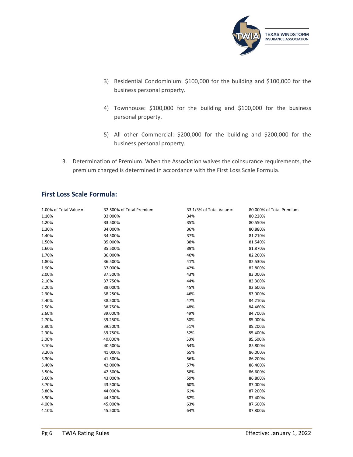

- 3) Residential Condominium: \$100,000 for the building and \$100,000 for the business personal property.
- 4) Townhouse: \$100,000 for the building and \$100,000 for the business personal property.
- 5) All other Commercial: \$200,000 for the building and \$200,000 for the business personal property.
- 3. Determination of Premium. When the Association waives the coinsurance requirements, the premium charged is determined in accordance with the First Loss Scale Formula.

## <span id="page-6-0"></span>**First Loss Scale Formula:**

| 1.00% of Total Value = | 32.500% of Total Premium | 33 1/3% of Total Value = | 80.000% of Total Premium |
|------------------------|--------------------------|--------------------------|--------------------------|
| 1.10%                  | 33.000%                  | 34%                      | 80.220%                  |
| 1.20%                  | 33.500%                  | 35%                      | 80.550%                  |
| 1.30%                  | 34.000%                  | 36%                      | 80.880%                  |
| 1.40%                  | 34.500%                  | 37%                      | 81.210%                  |
| 1.50%                  | 35.000%                  | 38%                      | 81.540%                  |
| 1.60%                  | 35.500%                  | 39%                      | 81.870%                  |
| 1.70%                  | 36.000%                  | 40%                      | 82.200%                  |
| 1.80%                  | 36.500%                  | 41%                      | 82.530%                  |
| 1.90%                  | 37.000%                  | 42%                      | 82.800%                  |
| 2.00%                  | 37.500%                  | 43%                      | 83.000%                  |
| 2.10%                  | 37.750%                  | 44%                      | 83.300%                  |
| 2.20%                  | 38.000%                  | 45%                      | 83.600%                  |
| 2.30%                  | 38.250%                  | 46%                      | 83.900%                  |
| 2.40%                  | 38.500%                  | 47%                      | 84.210%                  |
| 2.50%                  | 38.750%                  | 48%                      | 84.460%                  |
| 2.60%                  | 39.000%                  | 49%                      | 84.700%                  |
| 2.70%                  | 39.250%                  | 50%                      | 85.000%                  |
| 2.80%                  | 39.500%                  | 51%                      | 85.200%                  |
| 2.90%                  | 39.750%                  | 52%                      | 85.400%                  |
| 3.00%                  | 40.000%                  | 53%                      | 85.600%                  |
| 3.10%                  | 40.500%                  | 54%                      | 85.800%                  |
| 3.20%                  | 41.000%                  | 55%                      | 86.000%                  |
| 3.30%                  | 41.500%                  | 56%                      | 86.200%                  |
| 3.40%                  | 42.000%                  | 57%                      | 86.400%                  |
| 3.50%                  | 42.500%                  | 58%                      | 86.600%                  |
| 3.60%                  | 43.000%                  | 59%                      | 86.800%                  |
| 3.70%                  | 43.500%                  | 60%                      | 87.000%                  |
| 3.80%                  | 44.000%                  | 61%                      | 87.200%                  |
| 3.90%                  | 44.500%                  | 62%                      | 87.400%                  |
| 4.00%                  | 45.000%                  | 63%                      | 87.600%                  |
| 4.10%                  | 45.500%                  | 64%                      | 87.800%                  |
|                        |                          |                          |                          |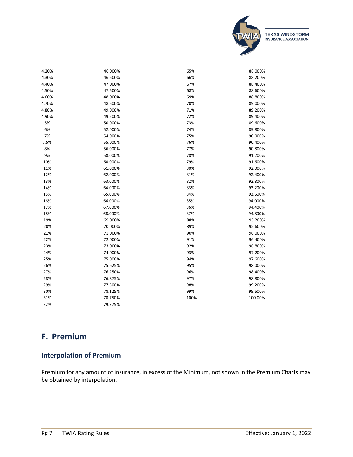

| 4.20% | 46.000% | 65%  | 88.000% |
|-------|---------|------|---------|
| 4.30% | 46.500% | 66%  | 88.200% |
| 4.40% | 47.000% | 67%  | 88.400% |
| 4.50% | 47.500% | 68%  | 88.600% |
| 4.60% | 48.000% | 69%  | 88.800% |
| 4.70% | 48.500% | 70%  | 89.000% |
| 4.80% | 49.000% | 71%  | 89.200% |
| 4.90% | 49.500% | 72%  | 89.400% |
| 5%    | 50.000% | 73%  | 89.600% |
| 6%    | 52.000% | 74%  | 89.800% |
| 7%    | 54.000% | 75%  | 90.000% |
| 7.5%  | 55.000% | 76%  | 90.400% |
| 8%    | 56.000% | 77%  | 90.800% |
| 9%    | 58.000% | 78%  | 91.200% |
| 10%   | 60.000% | 79%  | 91.600% |
| 11%   | 61.000% | 80%  | 92.000% |
| 12%   | 62.000% | 81%  | 92.400% |
| 13%   | 63.000% | 82%  | 92.800% |
| 14%   | 64.000% | 83%  | 93.200% |
| 15%   | 65.000% | 84%  | 93.600% |
| 16%   | 66.000% | 85%  | 94.000% |
| 17%   | 67.000% | 86%  | 94.400% |
| 18%   | 68.000% | 87%  | 94.800% |
| 19%   | 69.000% | 88%  | 95.200% |
| 20%   | 70.000% | 89%  | 95.600% |
| 21%   | 71.000% | 90%  | 96.000% |
| 22%   | 72.000% | 91%  | 96.400% |
| 23%   | 73.000% | 92%  | 96.800% |
| 24%   | 74.000% | 93%  | 97.200% |
| 25%   | 75.000% | 94%  | 97.600% |
| 26%   | 75.625% | 95%  | 98.000% |
| 27%   | 76.250% | 96%  | 98.400% |
| 28%   | 76.875% | 97%  | 98.800% |
| 29%   | 77.500% | 98%  | 99.200% |
| 30%   | 78.125% | 99%  | 99.600% |
| 31%   | 78.750% | 100% | 100.00% |
| 32%   | 79.375% |      |         |

# <span id="page-7-0"></span>**F. Premium**

## <span id="page-7-1"></span>**Interpolation of Premium**

Premium for any amount of insurance, in excess of the Minimum, not shown in the Premium Charts may be obtained by interpolation.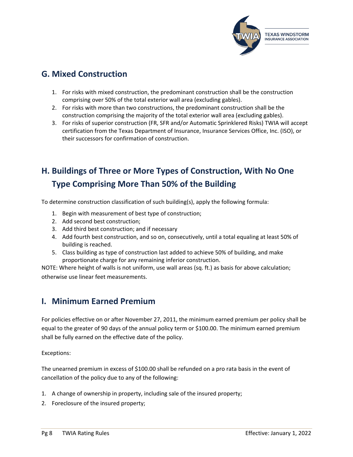

# <span id="page-8-0"></span>**G. Mixed Construction**

- 1. For risks with mixed construction, the predominant construction shall be the construction comprising over 50% of the total exterior wall area (excluding gables).
- 2. For risks with more than two constructions, the predominant construction shall be the construction comprising the majority of the total exterior wall area (excluding gables).
- 3. For risks of superior construction (FR, SFR and/or Automatic Sprinklered Risks) TWIA will accept certification from the Texas Department of Insurance, Insurance Services Office, Inc. (ISO), or their successors for confirmation of construction.

# <span id="page-8-1"></span>**H. Buildings of Three or More Types of Construction, With No One Type Comprising More Than 50% of the Building**

To determine construction classification of such building(s), apply the following formula:

- 1. Begin with measurement of best type of construction;
- 2. Add second best construction;
- 3. Add third best construction; and if necessary
- 4. Add fourth best construction, and so on, consecutively, until a total equaling at least 50% of building is reached.
- 5. Class building as type of construction last added to achieve 50% of building, and make proportionate charge for any remaining inferior construction.

NOTE: Where height of walls is not uniform, use wall areas (sq. ft.) as basis for above calculation; otherwise use linear feet measurements.

## <span id="page-8-2"></span>**I. Minimum Earned Premium**

For policies effective on or after November 27, 2011, the minimum earned premium per policy shall be equal to the greater of 90 days of the annual policy term or \$100.00. The minimum earned premium shall be fully earned on the effective date of the policy.

Exceptions:

The unearned premium in excess of \$100.00 shall be refunded on a pro rata basis in the event of cancellation of the policy due to any of the following:

- 1. A change of ownership in property, including sale of the insured property;
- 2. Foreclosure of the insured property;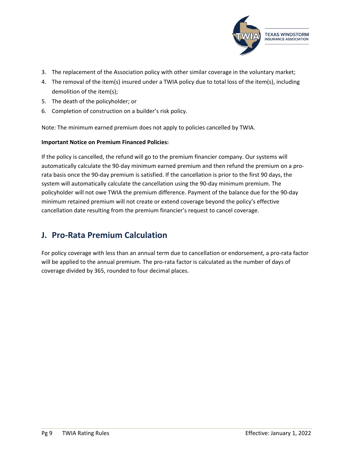

- 3. The replacement of the Association policy with other similar coverage in the voluntary market;
- 4. The removal of the item(s) insured under a TWIA policy due to total loss of the item(s), including demolition of the item(s);
- 5. The death of the policyholder; or
- 6. Completion of construction on a builder's risk policy.

Note: The minimum earned premium does not apply to policies cancelled by TWIA.

#### **Important Notice on Premium Financed Policies:**

If the policy is cancelled, the refund will go to the premium financier company. Our systems will automatically calculate the 90-day minimum earned premium and then refund the premium on a prorata basis once the 90-day premium is satisfied. If the cancellation is prior to the first 90 days, the system will automatically calculate the cancellation using the 90-day minimum premium. The policyholder will not owe TWIA the premium difference. Payment of the balance due for the 90-day minimum retained premium will not create or extend coverage beyond the policy's effective cancellation date resulting from the premium financier's request to cancel coverage.

## <span id="page-9-0"></span>**J. Pro-Rata Premium Calculation**

For policy coverage with less than an annual term due to cancellation or endorsement, a pro-rata factor will be applied to the annual premium. The pro-rata factor is calculated as the number of days of coverage divided by 365, rounded to four decimal places.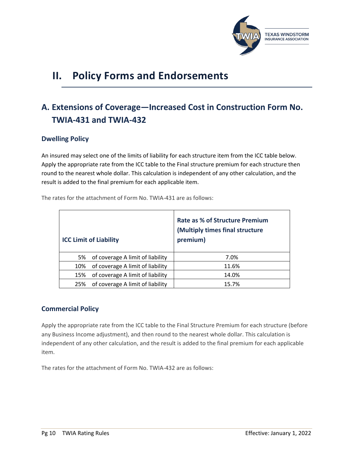

# <span id="page-10-0"></span>**II. Policy Forms and Endorsements**

# <span id="page-10-1"></span>**A. Extensions of Coverage—Increased Cost in Construction Form No. TWIA-431 and TWIA-432**

## <span id="page-10-2"></span>**Dwelling Policy**

An insured may select one of the limits of liability for each structure item from the ICC table below. Apply the appropriate rate from the ICC table to the Final structure premium for each structure then round to the nearest whole dollar. This calculation is independent of any other calculation, and the result is added to the final premium for each applicable item.

<span id="page-10-4"></span><span id="page-10-3"></span>

|     | <b>ICC Limit of Liability</b>    | <b>Rate as % of Structure Premium</b><br>(Multiply times final structure<br>premium) |
|-----|----------------------------------|--------------------------------------------------------------------------------------|
| 5%  | of coverage A limit of liability | 7.0%                                                                                 |
| 10% | of coverage A limit of liability | 11.6%                                                                                |
| 15% | of coverage A limit of liability | 14.0%                                                                                |
| 25% | of coverage A limit of liability | 15.7%                                                                                |

The rates for the attachment of Form No. TWIA-431 are as follows:

## <span id="page-10-5"></span>**Commercial Policy**

Apply the appropriate rate from the ICC table to the Final Structure Premium for each structure (before any Business Income adjustment), and then round to the nearest whole dollar. This calculation is independent of any other calculation, and the result is added to the final premium for each applicable item.

The rates for the attachment of Form No. TWIA-432 are as follows: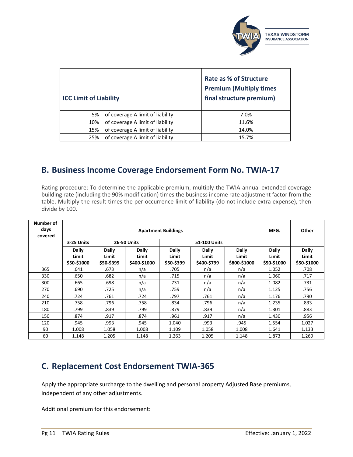<span id="page-11-1"></span>

<span id="page-11-0"></span>

| <b>ICC Limit of Liability</b> |                                  | Rate as % of Structure<br><b>Premium (Multiply times</b><br>final structure premium) |
|-------------------------------|----------------------------------|--------------------------------------------------------------------------------------|
| 5%                            | of coverage A limit of liability | 7.0%                                                                                 |
| 10%                           | of coverage A limit of liability | 11.6%                                                                                |
| 15%                           | of coverage A limit of liability | 14.0%                                                                                |
| 25%                           | of coverage A limit of liability | 15.7%                                                                                |

## <span id="page-11-2"></span>**B. Business Income Coverage Endorsement Form No. TWIA-17**

Rating procedure: To determine the applicable premium, multiply the TWIA annual extended coverage building rate (including the 90% modification) times the business income rate adjustment factor from the table. Multiply the result times the per occurrence limit of liability (do not include extra expense), then divide by 100.

| Number of<br>days<br>covered |                                                                                                                                                                                                                         | MFG.  | Other              |       |              |                               |                                      |       |
|------------------------------|-------------------------------------------------------------------------------------------------------------------------------------------------------------------------------------------------------------------------|-------|--------------------|-------|--------------|-------------------------------|--------------------------------------|-------|
|                              | 3-25 Units                                                                                                                                                                                                              |       | <b>26-50 Units</b> |       | 51-100 Units |                               |                                      |       |
|                              | <b>Daily</b><br>Daily<br>Daily<br><b>Daily</b><br>Daily<br><b>Daily</b><br>Limit<br>Limit<br>Limit<br>Limit<br>Limit<br>Limit<br>\$50-\$1000<br>\$50-\$399<br>\$400-\$1000<br>\$50-\$399<br>\$400-\$799<br>\$800-\$1000 |       |                    |       |              | Daily<br>Limit<br>\$50-\$1000 | <b>Daily</b><br>Limit<br>\$50-\$1000 |       |
| 365                          | .641                                                                                                                                                                                                                    | .673  | n/a                | .705  | n/a          | n/a                           | 1.052                                | .708  |
| 330                          | .650                                                                                                                                                                                                                    | .682  | n/a                | .715  | n/a          | n/a                           | 1.060                                | .717  |
| 300                          | .665                                                                                                                                                                                                                    | .698  | n/a                | .731  | n/a          | n/a                           | 1.082                                | .731  |
| 270                          | .690                                                                                                                                                                                                                    | .725  | n/a                | .759  | n/a          | n/a                           | 1.125                                | .756  |
| 240                          | .724                                                                                                                                                                                                                    | .761  | .724               | .797  | .761         | n/a                           | 1.176                                | .790  |
| 210                          | .758                                                                                                                                                                                                                    | .796  | .758               | .834  | .796         | n/a                           | 1.235                                | .833  |
| 180                          | .799                                                                                                                                                                                                                    | .839  | .799               | .879  | .839         | n/a                           | 1.301                                | .883  |
| 150                          | .874                                                                                                                                                                                                                    | .917  | .874               | .961  | .917         | n/a                           | 1.430                                | .956  |
| 120                          | .945                                                                                                                                                                                                                    | .993  | .945               | 1.040 | .993         | .945                          | 1.554                                | 1.027 |
| 90                           | 1.008                                                                                                                                                                                                                   | 1.058 | 1.008              | 1.109 | 1.058        | 1.008                         | 1.641                                | 1.133 |
| 60                           | 1.148                                                                                                                                                                                                                   | 1.205 | 1.148              | 1.263 | 1.205        | 1.148                         | 1.873                                | 1.269 |

## <span id="page-11-3"></span>**C. Replacement Cost Endorsement TWIA-365**

Apply the appropriate surcharge to the dwelling and personal property Adjusted Base premiums, independent of any other adjustments.

Additional premium for this endorsement: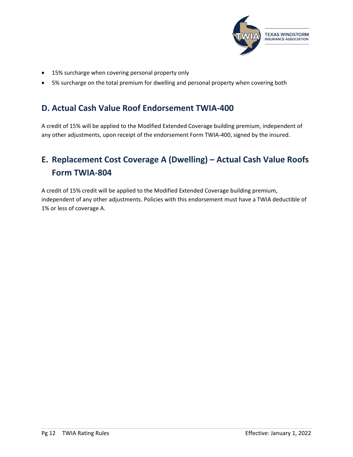

- 15% surcharge when covering personal property only
- 5% surcharge on the total premium for dwelling and personal property when covering both

## <span id="page-12-0"></span>**D. Actual Cash Value Roof Endorsement TWIA-400**

A credit of 15% will be applied to the Modified Extended Coverage building premium, independent of any other adjustments, upon receipt of the endorsement Form TWIA-400, signed by the insured.

# <span id="page-12-1"></span>**E. Replacement Cost Coverage A (Dwelling) – Actual Cash Value Roofs Form TWIA-804**

A credit of 15% credit will be applied to the Modified Extended Coverage building premium, independent of any other adjustments. Policies with this endorsement must have a TWIA deductible of 1% or less of coverage A.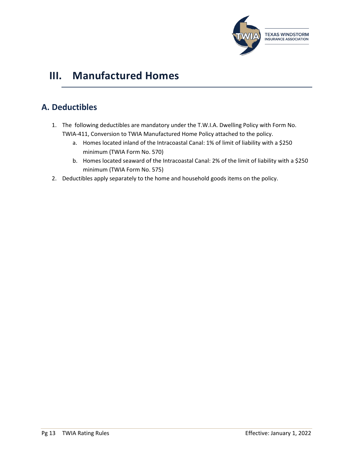

# <span id="page-13-0"></span>**III. Manufactured Homes**

# <span id="page-13-1"></span>**A. Deductibles**

- 1. The following deductibles are mandatory under the T.W.I.A. Dwelling Policy with Form No. TWIA-411, Conversion to TWIA Manufactured Home Policy attached to the policy.
	- a. Homes located inland of the Intracoastal Canal: 1% of limit of liability with a \$250 minimum (TWIA Form No. 570)
	- b. Homes located seaward of the Intracoastal Canal: 2% of the limit of liability with a \$250 minimum (TWIA Form No. 575)
- 2. Deductibles apply separately to the home and household goods items on the policy.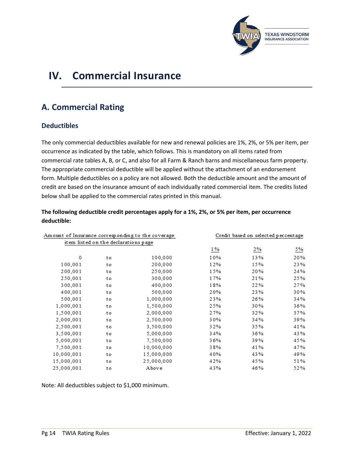

# <span id="page-14-0"></span>**IV. Commercial Insurance**

# <span id="page-14-1"></span>**A. Commercial Rating**

## <span id="page-14-2"></span>**Deductibles**

The only commercial deductibles available for new and renewal policies are 1%, 2%, or 5% per item, per occurrence as indicated by the table, which follows. This is mandatory on all items rated from commercial rate tables A, B, or C, and also for all Farm & Ranch barns and miscellaneous farm property. The appropriate commercial deductible will be applied without the attachment of an endorsement form. Multiple deductibles on a policy are not allowed. Both the deductible amount and the amount of credit are based on the insurance amount of each individually rated commercial item. The credits listed below shall be applied to the commercial rates printed in this manual.

**The following deductible credit percentages apply for a 1%, 2%, or 5% per item, per occurrence deductible:**

| Am ount of Insurance corresponding to the coverage |                                        |            | Credit based on selected percentage |     |     |  |
|----------------------------------------------------|----------------------------------------|------------|-------------------------------------|-----|-----|--|
|                                                    | it em list ed on the declarations page |            |                                     |     |     |  |
|                                                    |                                        |            | 1%                                  | 2%  | 5%  |  |
| 0                                                  | to                                     | 100,000    | 10%                                 | 13% | 20% |  |
| 100,001                                            | to                                     | 200,000    | 12%                                 | 15% | 23% |  |
| 200,001                                            | to                                     | 250,000    | 15%                                 | 20% | 24% |  |
| 250,001                                            | to                                     | 300,000    | 17%                                 | 21% | 25% |  |
| 300,001                                            | to                                     | 400,000    | 18%                                 | 22% | 27% |  |
| 400,001                                            | to                                     | 500,000    | 20%                                 | 23% | 30% |  |
| 500,001                                            | to                                     | 1,000,000  | 23%                                 | 26% | 34% |  |
| 1,000,001                                          | to                                     | 1,500,000  | 25%                                 | 30% | 36% |  |
| 1,500,001                                          | to                                     | 2,000,000  | 27%                                 | 32% | 37% |  |
| 2,000,001                                          | to                                     | 2,500,000  | 30%                                 | 34% | 39% |  |
| 2,500,001                                          | to                                     | 3,500,000  | 32%                                 | 35% | 41% |  |
| 3,500,001                                          | to                                     | 5,000,000  | 34%                                 | 36% | 43% |  |
| 5,000,001                                          | to                                     | 7,500,000  | 36%                                 | 39% | 45% |  |
| 7.500.001                                          | to                                     | 10.000.000 | 38%                                 | 41% | 47% |  |
| 10.000.001                                         | to                                     | 15,000,000 | 40%                                 | 43% | 49% |  |
| 15,000,001                                         | to                                     | 25,000,000 | 42%                                 | 45% | 51% |  |
| 25,000,001                                         | to                                     | Above      | 43%                                 | 46% | 52% |  |

Note: All deductibles subject to \$1,000 minimum.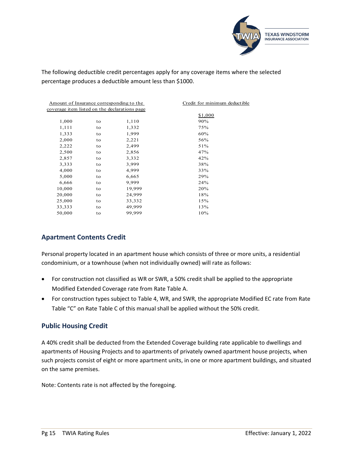

The following deductible credit percentages apply for any coverage items where the selected percentage produces a deductible amount less than \$1000.

| Amount of Insurance corresponding to the      |    |        | Credit for minimum deductible |
|-----------------------------------------------|----|--------|-------------------------------|
| coverage item listed on the declarations page |    |        |                               |
|                                               |    |        | \$1,000                       |
| 1,000                                         | to | 1,110  | 90%                           |
| 1,111                                         | to | 1,332  | 75%                           |
| 1,333                                         | to | 1,999  | 60%                           |
| 2,000                                         | to | 2,221  | 56%                           |
| 2,222                                         | to | 2,499  | 51%                           |
| 2,500                                         | to | 2,856  | 47%                           |
| 2,857                                         | to | 3,332  | 42%                           |
| 3,333                                         | to | 3,999  | 38%                           |
| 4,000                                         | to | 4,999  | 33%                           |
| 5,000                                         | to | 6,665  | 29%                           |
| 6,666                                         | to | 9,999  | 24%                           |
| 10,000                                        | to | 19,999 | 20%                           |
| 20,000                                        | to | 24,999 | 18%                           |
| 25,000                                        | to | 33,332 | 15%                           |
| 33,333                                        | to | 49,999 | 13%                           |
| 50,000                                        | to | 99,999 | 10%                           |
|                                               |    |        |                               |

## <span id="page-15-0"></span>**Apartment Contents Credit**

Personal property located in an apartment house which consists of three or more units, a residential condominium, or a townhouse (when not individually owned) will rate as follows:

- For construction not classified as WR or SWR, a 50% credit shall be applied to the appropriate Modified Extended Coverage rate from [Rate Table A.](#page-33-2)
- For construction types subject to Table 4, WR, and SWR, the appropriate Modified EC rate from Rate Table "C" on [Rate Table C](#page-33-2) of this manual shall be applied without the 50% credit.

## <span id="page-15-1"></span>**Public Housing Credit**

A 40% credit shall be deducted from the Extended Coverage building rate applicable to dwellings and apartments of Housing Projects and to apartments of privately owned apartment house projects, when such projects consist of eight or more apartment units, in one or more apartment buildings, and situated on the same premises.

Note: Contents rate is not affected by the foregoing.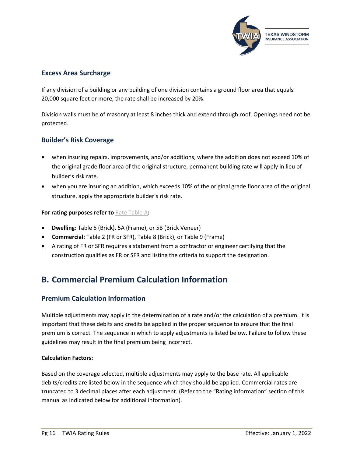

## <span id="page-16-0"></span>**Excess Area Surcharge**

If any division of a building or any building of one division contains a ground floor area that equals 20,000 square feet or more, the rate shall be increased by 20%.

Division walls must be of masonry at least 8 inches thick and extend through roof. Openings need not be protected.

## <span id="page-16-1"></span>**Builder's Risk Coverage**

- when insuring repairs, improvements, and/or additions, where the addition does not exceed 10% of the original grade floor area of the original structure, permanent building rate will apply in lieu of builder's risk rate.
- when you are insuring an addition, which exceeds 10% of the original grade floor area of the original structure, apply the appropriate builder's risk rate.

#### **For rating purposes refer to** [Rate Table A](#page-33-2)**:**

- **Dwelling:** Table 5 (Brick), 5A (Frame), or 5B (Brick Veneer)
- **Commercial:** Table 2 (FR or SFR), Table 8 (Brick), or Table 9 (Frame)
- A rating of FR or SFR requires a statement from a contractor or engineer certifying that the construction qualifies as FR or SFR and listing the criteria to support the designation.

# <span id="page-16-2"></span>**B. Commercial Premium Calculation Information**

## <span id="page-16-3"></span>**Premium Calculation Information**

Multiple adjustments may apply in the determination of a rate and/or the calculation of a premium. It is important that these debits and credits be applied in the proper sequence to ensure that the final premium is correct. The sequence in which to apply adjustments is listed below. Failure to follow these guidelines may result in the final premium being incorrect.

#### **Calculation Factors:**

Based on the coverage selected, multiple adjustments may apply to the base rate. All applicable debits/credits are listed below in the sequence which they should be applied. Commercial rates are truncated to 3 decimal places after each adjustment. (Refer to the "Rating information" section of this manual as indicated below for additional information).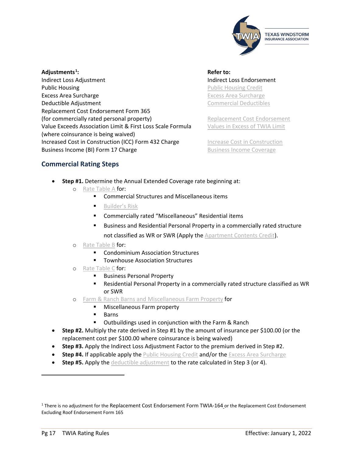

#### **Adjustments[1](#page-17-1)** Indirect Loss Adjustment Indirect Loss Endorsement **Public Housing Careford Contract Contract Contract Contract Contract [Public Housing Credit](#page-15-1)** [Excess Area Surcharge](#page-16-0) Excess Area Surcharge Excess Area Surcharge **Deductible Adjustment** [Commercial Deductibles](#page-14-2) Replacement Cost Endorsement Form 365 (for commercially rated personal property) [Replacement Cost Endorsement](#page-11-3) Value Exceeds Association Limit & First Loss Scale Formula [Values in Excess of TWIA Limit](#page-6-0) (where coinsurance is being waived) Increased Cost in Construction (ICC) Form 432 Charge [Increase Cost in Construction](#page-11-1) Business Income (BI) Form 17 Charge **[Business Income Coverage](#page-11-2)** Business Income Coverage

**: Refer to:**

## <span id="page-17-0"></span>**Commercial Rating Steps**

- **Step #1.** Determine the Annual Extended Coverage rate beginning at:
	- o [Rate Table A](#page-33-2) for:
		- Commercial Structures and Miscellaneous items
		- **[Builder's Risk](#page-16-1)**
		- Commercially rated "Miscellaneous" Residential items
		- **Business and Residential Personal Property in a commercially rated structure** not classified as WR or SWR (Apply the [Apartment Contents Credit\)](#page-15-0).
		- o [Rate Table B](#page-35-0) for:
			- **EXECO** Condominium Association Structures
			- **Townhouse Association Structures**
		- o [Rate Table C](#page-33-2) for:
			- **Business Personal Property**
			- Residential Personal Property in a commercially rated structure classified as WR or SWR
		- o [Farm & Ranch Barns and Miscellaneous Farm Property](#page-38-0) for
			- **Miscellaneous Farm property**
			- **Barns**
			- **•** Outbuildings used in conjunction with the Farm & Ranch
- **Step #2.** Multiply the rate derived in Step #1 by the amount of insurance per \$100.00 (or the replacement cost per \$100.00 where coinsurance is being waived)
- **Step #3.** Apply the Indirect Loss Adjustment Factor to the premium derived in Step #2.
- **Step #4.** If applicable apply the [Public Housing Credit](#page-15-1) and/or th[e Excess Area Surcharge](#page-16-0)
- **Step #5.** Apply the [deductible adjustment](#page-14-2) to the rate calculated in Step 3 (or 4).

<span id="page-17-1"></span><sup>&</sup>lt;sup>1</sup> There is no adjustment for the Replacement Cost Endorsement Form TWIA-164 or the Replacement Cost Endorsement Excluding Roof Endorsement Form 165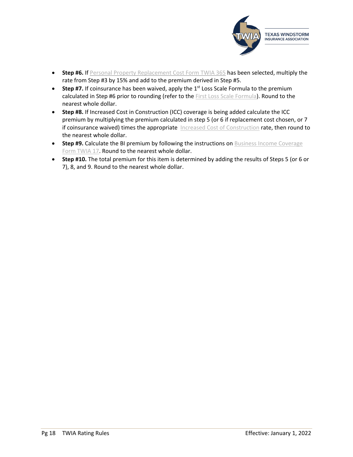

- **Step #6.** If [Personal Property Replacement Cost Form TWIA 365](#page-11-3) has been selected, multiply the rate from Step #3 by 15% and add to the premium derived in Step #5.
- **Step #7.** If coinsurance has been waived, apply the  $1<sup>st</sup>$  Loss Scale Formula to the premium calculated in Step #6 prior to rounding (refer to the [First Loss Scale Formula\)](#page-6-0). Round to the nearest whole dollar.
- **Step #8.** If Increased Cost in Construction (ICC) coverage is being added calculate the ICC premium by multiplying the premium calculated in step 5 (or 6 if replacement cost chosen, or 7 if coinsurance waived) times the appropriate [Increased Cost of Construction](#page-11-1) rate, then round to the nearest whole dollar.
- **Step #9.** Calculate the BI premium by following the instructions on Business Income Coverage [Form TWIA 17.](#page-11-2) Round to the nearest whole dollar.
- **Step #10.** The total premium for this item is determined by adding the results of Steps 5 (or 6 or 7), 8, and 9. Round to the nearest whole dollar.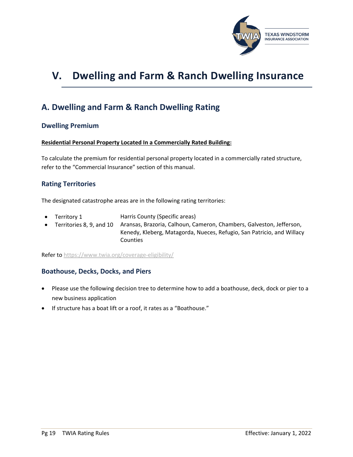

# <span id="page-19-0"></span>**V. Dwelling and Farm & Ranch Dwelling Insurance**

## <span id="page-19-1"></span>**A. Dwelling and Farm & Ranch Dwelling Rating**

#### <span id="page-19-2"></span>**Dwelling Premium**

#### **Residential Personal Property Located In a Commercially Rated Building:**

To calculate the premium for residential personal property located in a commercially rated structure, refer to the "Commercial Insurance" section of this manual.

#### <span id="page-19-3"></span>**Rating Territories**

The designated catastrophe areas are in the following rating territories:

- Territory 1 Harris County (Specific areas)
- Territories 8, 9, and 10 Aransas, Brazoria, Calhoun, Cameron, Chambers, Galveston, Jefferson, Kenedy, Kleberg, Matagorda, Nueces, Refugio, San Patricio, and Willacy **Counties**

Refer t[o https://www.twia.org/coverage-eligibility/](https://www.twia.org/coverage-eligibility/)

## <span id="page-19-4"></span>**Boathouse, Decks, Docks, and Piers**

- Please use the following decision tree to determine how to add a boathouse, deck, dock or pier to a new business application
- If structure has a boat lift or a roof, it rates as a "Boathouse."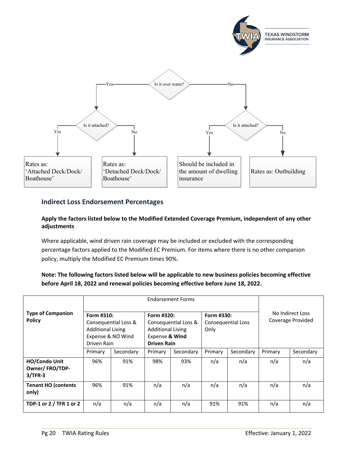

## <span id="page-20-0"></span>**Indirect Loss Endorsement Percentages**

#### **Apply the factors listed below to the Modified Extended Coverage Premium, independent of any other adjustments**

Where applicable, wind driven rain coverage may be included or excluded with the corresponding percentage factors applied to the Modified EC Premium. For items where there is no other companion policy, multiply the Modified EC Premium times 90%.

## **Note: The following factors listed below will be applicable to new business policies becoming effective before April 18, 2022 and renewal policies becoming effective before June 18, 2022.**

|                                                     | <b>Endorsement Forms</b>                                                                           |           |                                                                                                        |           |                                          |           |                                       |           |
|-----------------------------------------------------|----------------------------------------------------------------------------------------------------|-----------|--------------------------------------------------------------------------------------------------------|-----------|------------------------------------------|-----------|---------------------------------------|-----------|
| <b>Type of Companion</b><br><b>Policy</b>           | Form #310:<br>Consequential Loss &<br><b>Additional Living</b><br>Expense & NO Wind<br>Driven Rain |           | Form #320:<br>Consequential Loss &<br><b>Additional Living</b><br>Expense & Wind<br><b>Driven Rain</b> |           | Form #330:<br>Consequential Loss<br>Only |           | No Indirect Loss<br>Coverage Provided |           |
|                                                     | Primary                                                                                            | Secondary | Primary                                                                                                | Secondary | Primary                                  | Secondary | Primary                               | Secondary |
| <b>HO/Condo Unit</b><br>Owner/FRO/TDP-<br>$3/TFR-3$ | 96%                                                                                                | 91%       | 98%                                                                                                    | 93%       | n/a                                      | n/a       | n/a                                   | n/a       |
| <b>Tenant HO (contents</b><br>only)                 | 96%                                                                                                | 91%       | n/a                                                                                                    | n/a       | n/a                                      | n/a       | n/a                                   | n/a       |
| TDP-1 or 2 / TFR 1 or 2                             | n/a                                                                                                | n/a       | n/a                                                                                                    | n/a       | 91%                                      | 91%       | n/a                                   | n/a       |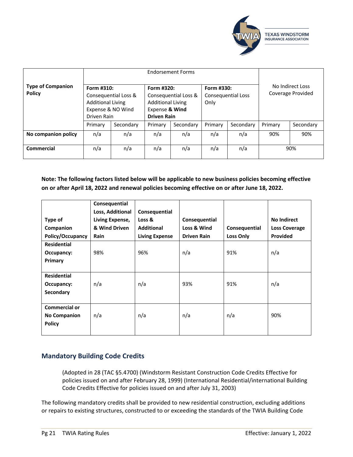

|                                           | <b>Endorsement Forms</b>                              |                                           |                                                                                |                      |                                          |           |         |                                       |  |
|-------------------------------------------|-------------------------------------------------------|-------------------------------------------|--------------------------------------------------------------------------------|----------------------|------------------------------------------|-----------|---------|---------------------------------------|--|
| <b>Type of Companion</b><br><b>Policy</b> | Form #310:<br><b>Additional Living</b><br>Driven Rain | Consequential Loss &<br>Expense & NO Wind | Form #320:<br><b>Additional Living</b><br>Expense & Wind<br><b>Driven Rain</b> | Consequential Loss & | Form #330:<br>Consequential Loss<br>Only |           |         | No Indirect Loss<br>Coverage Provided |  |
|                                           | Primary                                               | Secondary                                 | Primary                                                                        | Secondary            | Primary                                  | Secondary | Primary | Secondary                             |  |
| No companion policy                       | n/a                                                   | n/a                                       | n/a                                                                            | n/a                  | n/a                                      | n/a       | 90%     | 90%                                   |  |
| <b>Commercial</b>                         | n/a                                                   | n/a                                       | n/a                                                                            | n/a                  | n/a                                      | n/a       |         | 90%                                   |  |

**Note: The following factors listed below will be applicable to new business policies becoming effective on or after April 18, 2022 and renewal policies becoming effective on or after June 18, 2022.**

|                      | Consequential    |                       |                    |                  |                      |
|----------------------|------------------|-----------------------|--------------------|------------------|----------------------|
|                      | Loss, Additional | Consequential         |                    |                  |                      |
| Type of              | Living Expense,  | Loss &                | Consequential      |                  | <b>No Indirect</b>   |
| Companion            | & Wind Driven    | <b>Additional</b>     | Loss & Wind        | Consequential    | <b>Loss Coverage</b> |
| Policy/Occupancy     | Rain             | <b>Living Expense</b> | <b>Driven Rain</b> | <b>Loss Only</b> | Provided             |
| <b>Residential</b>   |                  |                       |                    |                  |                      |
| Occupancy:           | 98%              | 96%                   | n/a                | 91%              | n/a                  |
| Primary              |                  |                       |                    |                  |                      |
|                      |                  |                       |                    |                  |                      |
| <b>Residential</b>   |                  |                       |                    |                  |                      |
| Occupancy:           | n/a              | n/a                   | 93%                | 91%              | n/a                  |
| Secondary            |                  |                       |                    |                  |                      |
|                      |                  |                       |                    |                  |                      |
| <b>Commercial or</b> |                  |                       |                    |                  |                      |
| <b>No Companion</b>  | n/a              | n/a                   | n/a                | n/a              | 90%                  |
| <b>Policy</b>        |                  |                       |                    |                  |                      |
|                      |                  |                       |                    |                  |                      |

## <span id="page-21-0"></span>**Mandatory Building Code Credits**

(Adopted in 28 (TAC §5.4700) (Windstorm Resistant Construction Code Credits Effective for policies issued on and after February 28, 1999) (International Residential/international Building Code Credits Effective for policies issued on and after July 31, 2003)

The following mandatory credits shall be provided to new residential construction, excluding additions or repairs to existing structures, constructed to or exceeding the standards of the TWIA Building Code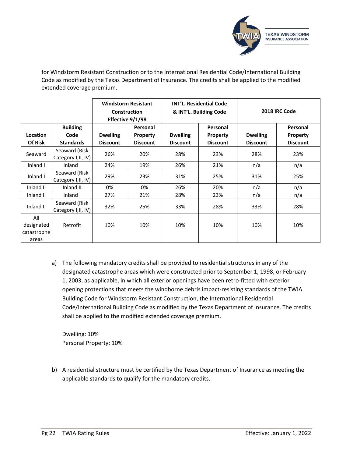

for Windstorm Resistant Construction or to the International Residential Code/International Building Code as modified by the Texas Department of Insurance. The credits shall be applied to the modified extended coverage premium.

|                                           |                                      |                                    | <b>Windstorm Resistant</b><br><b>Construction</b><br>Effective 9/1/98 |                                    | <b>INT'L. Residential Code</b><br>& INT'L. Building Code |                                    | 2018 IRC Code               |
|-------------------------------------------|--------------------------------------|------------------------------------|-----------------------------------------------------------------------|------------------------------------|----------------------------------------------------------|------------------------------------|-----------------------------|
| <b>Location</b>                           | <b>Building</b><br>Code              |                                    | Personal                                                              |                                    | Personal                                                 |                                    | Personal                    |
| Of Risk                                   | <b>Standards</b>                     | <b>Dwelling</b><br><b>Discount</b> | <b>Property</b><br><b>Discount</b>                                    | <b>Dwelling</b><br><b>Discount</b> | <b>Property</b><br><b>Discount</b>                       | <b>Dwelling</b><br><b>Discount</b> | Property<br><b>Discount</b> |
| Seaward                                   | Seaward (Risk<br>Category I, II, IV) | 26%                                | 20%                                                                   | 28%                                | 23%                                                      | 28%                                | 23%                         |
| Inland I                                  | Inland I                             | 24%                                | 19%                                                                   | 26%                                | 21%                                                      | n/a                                | n/a                         |
| Inland I                                  | Seaward (Risk<br>Category I, II, IV) | 29%                                | 23%                                                                   | 31%                                | 25%                                                      | 31%                                | 25%                         |
| Inland II                                 | Inland II                            | 0%                                 | 0%                                                                    | 26%                                | 20%                                                      | n/a                                | n/a                         |
| Inland II                                 | Inland I                             | 27%                                | 21%                                                                   | 28%                                | 23%                                                      | n/a                                | n/a                         |
| Inland II                                 | Seaward (Risk<br>Category I, II, IV) | 32%                                | 25%                                                                   | 33%                                | 28%                                                      | 33%                                | 28%                         |
| All<br>designated<br>catastrophe<br>areas | Retrofit                             | 10%                                | 10%                                                                   | 10%                                | 10%                                                      | 10%                                | 10%                         |

a) The following mandatory credits shall be provided to residential structures in any of the designated catastrophe areas which were constructed prior to September 1, 1998, or February 1, 2003, as applicable, in which all exterior openings have been retro-fitted with exterior opening protections that meets the windborne debris impact-resisting standards of the TWIA Building Code for Windstorm Resistant Construction, the International Residential Code/International Building Code as modified by the Texas Department of Insurance. The credits shall be applied to the modified extended coverage premium.

Dwelling: 10% Personal Property: 10%

b) A residential structure must be certified by the Texas Department of Insurance as meeting the applicable standards to qualify for the mandatory credits.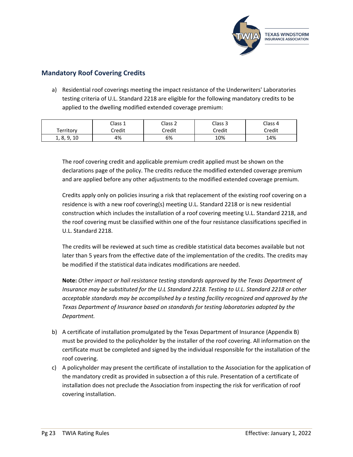

## <span id="page-23-0"></span>**Mandatory Roof Covering Credits**

a) Residential roof coverings meeting the impact resistance of the Underwriters' Laboratories testing criteria of U.L. Standard 2218 are eligible for the following mandatory credits to be applied to the dwelling modified extended coverage premium:

|                          | Class 1 | Class 2 | Class 3 | Class 4 |
|--------------------------|---------|---------|---------|---------|
| Territory                | Credit  | Credit  | Credit  | Credit  |
| 9.10<br>$\circ$<br>Ι, δ, | 4%      | 6%      | 10%     | 14%     |

The roof covering credit and applicable premium credit applied must be shown on the declarations page of the policy. The credits reduce the modified extended coverage premium and are applied before any other adjustments to the modified extended coverage premium.

Credits apply only on policies insuring a risk that replacement of the existing roof covering on a residence is with a new roof covering(s) meeting U.L. Standard 2218 or is new residential construction which includes the installation of a roof covering meeting U.L. Standard 2218, and the roof covering must be classified within one of the four resistance classifications specified in U.L. Standard 2218.

The credits will be reviewed at such time as credible statistical data becomes available but not later than 5 years from the effective date of the implementation of the credits. The credits may be modified if the statistical data indicates modifications are needed.

**Note:** *Other impact or hail resistance testing standards approved by the Texas Department of Insurance may be substituted for the U.L Standard 2218. Testing to U.L. Standard 2218 or other acceptable standards may be accomplished by a testing facility recognized and approved by the Texas Department of Insurance based on standards for testing laboratories adopted by the Department.*

- b) A certificate of installation promulgated by the Texas Department of Insurance (Appendix B) must be provided to the policyholder by the installer of the roof covering. All information on the certificate must be completed and signed by the individual responsible for the installation of the roof covering.
- c) A policyholder may present the certificate of installation to the Association for the application of the mandatory credit as provided in subsection a of this rule. Presentation of a certificate of installation does not preclude the Association from inspecting the risk for verification of roof covering installation.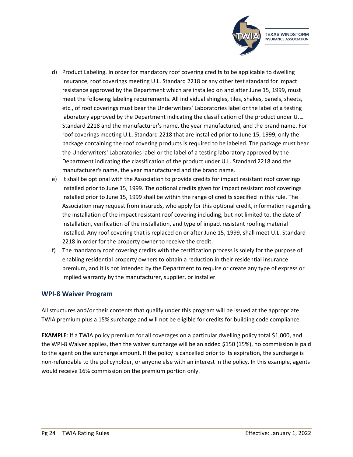

- d) Product Labeling. In order for mandatory roof covering credits to be applicable to dwelling insurance, roof coverings meeting U.L. Standard 2218 or any other test standard for impact resistance approved by the Department which are installed on and after June 15, 1999, must meet the following labeling requirements. All individual shingles, tiles, shakes, panels, sheets, etc., of roof coverings must bear the Underwriters' Laboratories label or the label of a testing laboratory approved by the Department indicating the classification of the product under U.L. Standard 2218 and the manufacturer's name, the year manufactured, and the brand name. For roof coverings meeting U.L. Standard 2218 that are installed prior to June 15, 1999, only the package containing the roof covering products is required to be labeled. The package must bear the Underwriters' Laboratories label or the label of a testing laboratory approved by the Department indicating the classification of the product under U.L. Standard 2218 and the manufacturer's name, the year manufactured and the brand name.
- e) It shall be optional with the Association to provide credits for impact resistant roof coverings installed prior to June 15, 1999. The optional credits given for impact resistant roof coverings installed prior to June 15, 1999 shall be within the range of credits specified in this rule. The Association may request from insureds, who apply for this optional credit, information regarding the installation of the impact resistant roof covering including, but not limited to, the date of installation, verification of the installation, and type of impact resistant roofing material installed. Any roof covering that is replaced on or after June 15, 1999, shall meet U.L. Standard 2218 in order for the property owner to receive the credit.
- f) The mandatory roof covering credits with the certification process is solely for the purpose of enabling residential property owners to obtain a reduction in their residential insurance premium, and it is not intended by the Department to require or create any type of express or implied warranty by the manufacturer, supplier, or installer.

#### <span id="page-24-0"></span>**WPI-8 Waiver Program**

All structures and/or their contents that qualify under this program will be issued at the appropriate TWIA premium plus a 15% surcharge and will not be eligible for credits for building code compliance.

**EXAMPLE**: If a TWIA policy premium for all coverages on a particular dwelling policy total \$1,000, and the WPI-8 Waiver applies, then the waiver surcharge will be an added \$150 (15%), no commission is paid to the agent on the surcharge amount. If the policy is cancelled prior to its expiration, the surcharge is non-refundable to the policyholder, or anyone else with an interest in the policy. In this example, agents would receive 16% commission on the premium portion only.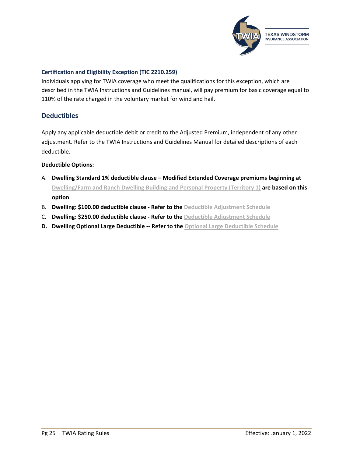

#### <span id="page-25-0"></span>**Certification and Eligibility Exception (TIC 2210.259)**

Individuals applying for TWIA coverage who meet the qualifications for this exception, which are described in the TWIA Instructions and Guidelines manual, will pay premium for basic coverage equal to 110% of the rate charged in the voluntary market for wind and hail.

### <span id="page-25-1"></span>**Deductibles**

Apply any applicable deductible debit or credit to the Adjusted Premium, independent of any other adjustment. Refer to the TWIA Instructions and Guidelines Manual for detailed descriptions of each deductible.

#### **Deductible Options:**

- A. **Dwelling Standard 1% deductible clause – Modified Extended Coverage premiums beginning at [Dwelling/Farm and Ranch Dwelling Building and Personal Property \(Territory 1\)](#page-40-1) are based on this option**
- B. **Dwelling: \$100.00 deductible clause - Refer to the [Deductible Adjustment Schedule](#page-26-0)**
- C. **Dwelling: \$250.00 deductible clause - Refer to the [Deductible Adjustment Schedule](#page-26-0)**
- **D. Dwelling Optional Large Deductible -- Refer to the [Optional Large Deductible Schedule](#page-27-0)**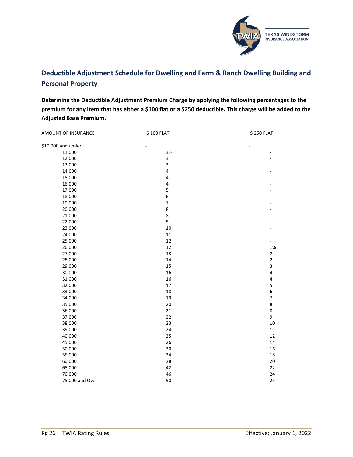

## <span id="page-26-0"></span>**Deductible Adjustment Schedule for Dwelling and Farm & Ranch Dwelling Building and Personal Property**

**Determine the Deductible Adjustment Premium Charge by applying the following percentages to the premium for any item that has either a \$100 flat or a \$250 deductible. This charge will be added to the Adjusted Base Premium.**

| AMOUNT OF INSURANCE | \$100 FLAT               | \$250 FLAT               |
|---------------------|--------------------------|--------------------------|
| \$10,000 and under  |                          |                          |
| 11,000              | 3%                       | -                        |
| 12,000              | 3                        |                          |
| 13,000              | 3                        |                          |
| 14,000              | $\overline{\mathbf{4}}$  |                          |
| 15,000              | $\overline{\mathbf{4}}$  |                          |
| 16,000              | 4                        |                          |
| 17,000              | 5                        |                          |
| 18,000              | 6                        |                          |
| 19,000              | $\overline{\mathcal{I}}$ |                          |
| 20,000              | 8                        |                          |
| 21,000              | 8                        |                          |
| 22,000              | 9                        |                          |
| 23,000              | $10\,$                   |                          |
| 24,000              | $11\,$                   |                          |
| 25,000              | 12                       |                          |
| 26,000              | 12                       | 1%                       |
| 27,000              | 13                       | $\mathbf 2$              |
| 28,000              | $14\,$                   | $\mathbf{2}$             |
| 29,000              | 15                       | 3                        |
| 30,000              | 16                       | $\pmb{4}$                |
| 31,000              | 16                       | 4                        |
| 32,000              | $17\,$                   | 5                        |
| 33,000              | 18                       | $\boldsymbol{6}$         |
| 34,000              | 19                       | $\overline{\phantom{a}}$ |
| 35,000              | 20                       | $\bf 8$                  |
| 36,000              | 21                       | 8                        |
| 37,000              | 22                       | 9                        |
| 38,000              | 23                       | 10                       |
| 39,000              | 24                       | 11                       |
| 40,000              | 25                       | 12                       |
| 45,000              | 26                       | 14                       |
| 50,000              | 30                       | 16                       |
| 55,000              | 34                       | 18                       |
| 60,000              | 38                       | 20                       |
| 65,000              | 42                       | 22                       |
| 70,000              | 46                       | 24                       |
| 75,000 and Over     | 50                       | 25                       |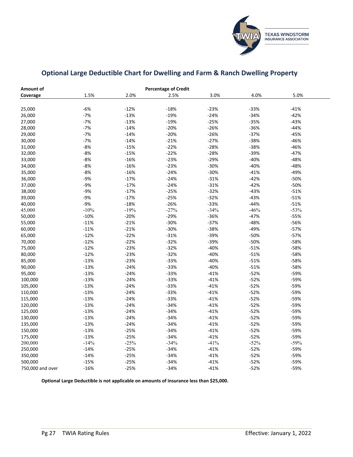

## <span id="page-27-0"></span>**Optional Large Deductible Chart for Dwelling and Farm & Ranch Dwelling Property**

| Amount of        |        |        | <b>Percentage of Credit</b> |        |        |        |  |
|------------------|--------|--------|-----------------------------|--------|--------|--------|--|
| Coverage         | 1.5%   | 2.0%   | 2.5%                        | 3.0%   | 4.0%   | 5.0%   |  |
|                  |        |        |                             |        |        |        |  |
| 25,000           | $-6%$  | $-12%$ | $-18%$                      | $-23%$ | $-33%$ | $-41%$ |  |
| 26,000           | $-7%$  | $-13%$ | $-19%$                      | $-24%$ | $-34%$ | $-42%$ |  |
| 27,000           | $-7%$  | $-13%$ | $-19%$                      | $-25%$ | $-35%$ | $-43%$ |  |
| 28,000           | $-7%$  | $-14%$ | $-20%$                      | $-26%$ | $-36%$ | $-44%$ |  |
| 29,000           | $-7%$  | $-14%$ | $-20%$                      | $-26%$ | $-37%$ | $-45%$ |  |
| 30,000           | $-7%$  | $-14%$ | $-21%$                      | $-27%$ | $-38%$ | $-46%$ |  |
| 31,000           | $-8%$  | $-15%$ | $-22%$                      | $-28%$ | $-38%$ | $-46%$ |  |
| 32,000           | $-8%$  | $-15%$ | $-22%$                      | $-28%$ | $-39%$ | $-47%$ |  |
| 33,000           | $-8%$  | $-16%$ | $-23%$                      | $-29%$ | $-40%$ | -48%   |  |
| 34,000           | $-8%$  | $-16%$ | $-23%$                      | $-30%$ | $-40%$ | -48%   |  |
| 35,000           | $-8%$  | $-16%$ | $-24%$                      | $-30%$ | $-41%$ | $-49%$ |  |
| 36,000           | $-9%$  | $-17%$ | $-24%$                      | $-31%$ | $-42%$ | $-50%$ |  |
| 37,000           | $-9%$  | $-17%$ | $-24%$                      | $-31%$ | $-42%$ | $-50%$ |  |
| 38,000           | $-9%$  | $-17%$ | $-25%$                      | $-32%$ | $-43%$ | $-51%$ |  |
| 39,000           | $-9%$  | $-17%$ | $-25%$                      | $-32%$ | $-43%$ | $-51%$ |  |
| 40,000           | $-9%$  | $-18%$ | $-26%$                      | $-33%$ | $-44%$ | $-51%$ |  |
| 45,000           | $-10%$ | $-19%$ | $-27%$                      | $-34%$ | $-46%$ | $-53%$ |  |
| 50,000           | $-10%$ | $-20%$ | $-29%$                      | $-36%$ | $-47%$ | $-55%$ |  |
| 55,000           | $-11%$ | $-21%$ | $-30%$                      | $-37%$ | $-48%$ | -56%   |  |
| 60,000           | $-11%$ | $-21%$ | $-30%$                      | $-38%$ | -49%   | $-57%$ |  |
| 65,000           | $-12%$ | $-22%$ | $-31%$                      | $-39%$ | $-50%$ | $-57%$ |  |
| 70,000           | $-12%$ | $-22%$ | $-32%$                      | $-39%$ | $-50%$ | $-58%$ |  |
| 75,000           | $-12%$ | $-23%$ | $-32%$                      | $-40%$ | $-51%$ | $-58%$ |  |
| 80,000           | $-12%$ | $-23%$ | $-32%$                      | $-40%$ | $-51%$ | $-58%$ |  |
| 85,000           | $-13%$ | $-23%$ | $-33%$                      | $-40%$ | $-51%$ | $-58%$ |  |
| 90,000           | $-13%$ | $-24%$ | $-33%$                      | $-40%$ | $-51%$ | $-58%$ |  |
| 95,000           | $-13%$ | $-24%$ | $-33%$                      | $-41%$ | $-52%$ | -59%   |  |
| 100,000          | $-13%$ | $-24%$ | $-33%$                      | $-41%$ | $-52%$ | -59%   |  |
| 105,000          | $-13%$ | $-24%$ | $-33%$                      | $-41%$ | $-52%$ | -59%   |  |
| 110,000          | $-13%$ | $-24%$ | $-33%$                      | $-41%$ | $-52%$ | $-59%$ |  |
| 115,000          | $-13%$ | $-24%$ | $-33%$                      | $-41%$ | $-52%$ | -59%   |  |
| 120,000          | $-13%$ | $-24%$ | $-34%$                      | $-41%$ | $-52%$ | $-59%$ |  |
| 125,000          | $-13%$ | $-24%$ | $-34%$                      | $-41%$ | $-52%$ | $-59%$ |  |
| 130,000          | $-13%$ | $-24%$ | $-34%$                      | $-41%$ | $-52%$ | $-59%$ |  |
| 135,000          | $-13%$ | $-24%$ | $-34%$                      | $-41%$ | $-52%$ | -59%   |  |
| 150,000          | $-13%$ | $-25%$ | $-34%$                      | $-41%$ | $-52%$ | -59%   |  |
| 175,000          | $-13%$ | $-25%$ | $-34%$                      | $-41%$ | $-52%$ | -59%   |  |
| 200,000          | $-14%$ | $-25%$ | $-34%$                      | $-41%$ | $-52%$ | $-59%$ |  |
| 250,000          | $-14%$ | $-25%$ | $-34%$                      | $-41%$ | $-52%$ | -59%   |  |
| 350,000          | $-14%$ | $-25%$ | $-34%$                      | $-41%$ | $-52%$ | $-59%$ |  |
| 500,000          | $-15%$ | $-25%$ | $-34%$                      | $-41%$ | $-52%$ | -59%   |  |
| 750,000 and over | $-16%$ | $-25%$ | $-34%$                      | $-41%$ | $-52%$ | $-59%$ |  |

**Optional Large Deductible is not applicable on amounts of insurance less than \$25,000.**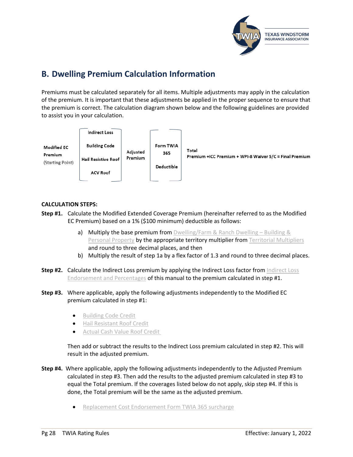

# <span id="page-28-0"></span>**B. Dwelling Premium Calculation Information**

Premiums must be calculated separately for all items. Multiple adjustments may apply in the calculation of the premium. It is important that these adjustments be applied in the proper sequence to ensure that the premium is correct. The calculation diagram shown below and the following guidelines are provided to assist you in your calculation.



#### **CALCULATION STEPS:**

- **Step #1.** Calculate the Modified Extended Coverage Premium (hereinafter referred to as the Modified EC Premium) based on a 1% (\$100 minimum) deductible as follows:
	- a) Multiply the base premium from [Dwelling/Farm & Ranch Dwelling –](#page-40-1) Building & **[Personal Property](#page-40-1) by the appropriate territory multiplier from [Territorial Multipliers](#page-42-0)** and round to three decimal places, and then
	- b) Multiply the result of step 1a by a flex factor of 1.3 and round to three decimal places.
- **Step #2.** Calculate the Indirect Loss premium by applying the Indirect Loss factor from Indirect Loss [Endorsement and Percentages](#page-20-0) of this manual to the premium calculated in step #1.
- **Step #3.** Where applicable, apply the following adjustments independently to the Modified EC premium calculated in step #1:
	- [Building Code Credit](#page-21-0)
	- [Hail Resistant Roof Credit](#page-23-0)
	- [Actual Cash Value Roof Credit](#page-12-0)

Then add or subtract the results to the Indirect Loss premium calculated in step #2. This will result in the adjusted premium.

- **Step #4.** Where applicable, apply the following adjustments independently to the Adjusted Premium calculated in step #3. Then add the results to the adjusted premium calculated in step #3 to equal the Total premium. If the coverages listed below do not apply, skip step #4. If this is done, the Total premium will be the same as the adjusted premium.
	- [Replacement Cost Endorsement Form TWIA 365](#page-11-3) surcharge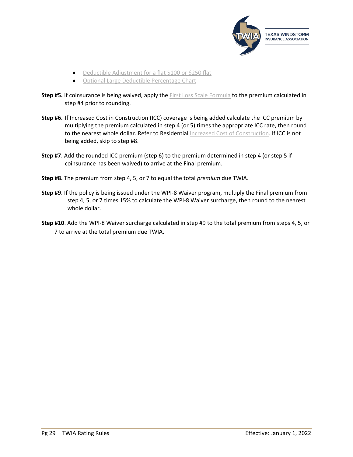

- Deductible Adjustment [for a flat \\$100 or \\$250 flat](#page-26-0)
- [Optional Large Deductible](#page-27-0) Percentage Chart
- **Step #5.** If coinsurance is being waived, apply the [First Loss Scale Formula](#page-6-0) to the premium calculated in step #4 prior to rounding.
- **Step #6.** If Increased Cost in Construction (ICC) coverage is being added calculate the ICC premium by multiplying the premium calculated in step 4 (or 5) times the appropriate ICC rate, then round to the nearest whole dollar. Refer to Residential [Increased Cost of Construction.](#page-10-4) If ICC is not being added, skip to step #8.
- **Step #7**. Add the rounded ICC premium (step 6) to the premium determined in step 4 (or step 5 if coinsurance has been waived) to arrive at the Final premium.
- **Step #8.** The premium from step 4, 5, or 7 to equal the total *premium* due TWIA.
- **Step #9**. If the policy is being issued under the WPI-8 Waiver program, multiply the Final premium from step 4, 5, or 7 times 15% to calculate the WPI-8 Waiver surcharge, then round to the nearest whole dollar.
- **Step #10**. Add the WPI-8 Waiver surcharge calculated in step #9 to the total premium from steps 4, 5, or 7 to arrive at the total premium due TWIA.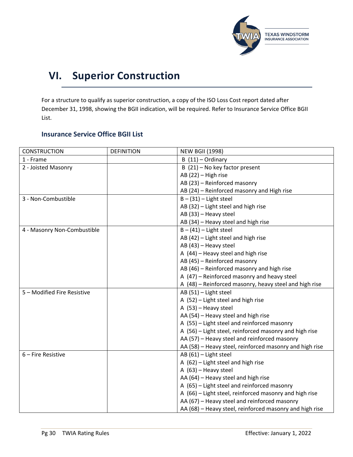

# <span id="page-30-0"></span>**VI. Superior Construction**

For a structure to qualify as superior construction, a copy of the ISO Loss Cost report dated after December 31, 1998, showing the BGII indication, will be required. Refer to Insurance Service Office BGII List.

### <span id="page-30-1"></span>**Insurance Service Office BGII List**

| <b>CONSTRUCTION</b>         | <b>DEFINITION</b> | <b>NEW BGII (1998)</b>                                  |
|-----------------------------|-------------------|---------------------------------------------------------|
| 1 - Frame                   |                   | $B(11) - Ordinary$                                      |
| 2 - Joisted Masonry         |                   | B (21) - No key factor present                          |
|                             |                   | AB (22) - High rise                                     |
|                             |                   | AB (23) - Reinforced masonry                            |
|                             |                   | AB (24) - Reinforced masonry and High rise              |
| 3 - Non-Combustible         |                   | $B - (31) -$ Light steel                                |
|                             |                   | AB (32) - Light steel and high rise                     |
|                             |                   | AB (33) - Heavy steel                                   |
|                             |                   | AB (34) - Heavy steel and high rise                     |
| 4 - Masonry Non-Combustible |                   | $B - (41) -$ Light steel                                |
|                             |                   | $AB(42)$ - Light steel and high rise                    |
|                             |                   | AB (43) - Heavy steel                                   |
|                             |                   | A $(44)$ – Heavy steel and high rise                    |
|                             |                   | AB (45) - Reinforced masonry                            |
|                             |                   | AB (46) - Reinforced masonry and high rise              |
|                             |                   | A (47) - Reinforced masonry and heavy steel             |
|                             |                   | A (48) - Reinforced masonry, heavy steel and high rise  |
| 5 - Modified Fire Resistive |                   | AB (51) - Light steel                                   |
|                             |                   | A (52) - Light steel and high rise                      |
|                             |                   | A (53) - Heavy steel                                    |
|                             |                   | AA (54) - Heavy steel and high rise                     |
|                             |                   | A (55) - Light steel and reinforced masonry             |
|                             |                   | A (56) - Light steel, reinforced masonry and high rise  |
|                             |                   | AA (57) - Heavy steel and reinforced masonry            |
|                             |                   | AA (58) - Heavy steel, reinforced masonry and high rise |
| $6$ – Fire Resistive        |                   | AB (61) - Light steel                                   |
|                             |                   | A (62) - Light steel and high rise                      |
|                             |                   | A (63) - Heavy steel                                    |
|                             |                   | AA (64) - Heavy steel and high rise                     |
|                             |                   | A (65) - Light steel and reinforced masonry             |
|                             |                   | A (66) - Light steel, reinforced masonry and high rise  |
|                             |                   | AA (67) - Heavy steel and reinforced masonry            |
|                             |                   | AA (68) - Heavy steel, reinforced masonry and high rise |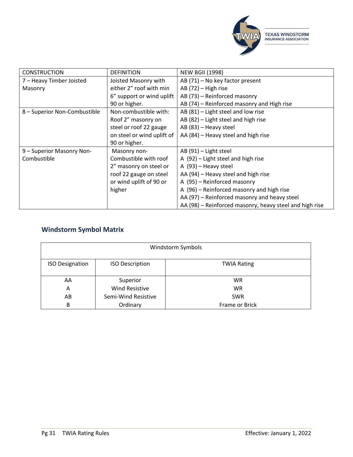

| <b>CONSTRUCTION</b>          | <b>DEFINITION</b>          | <b>NEW BGII (1998)</b>                                  |
|------------------------------|----------------------------|---------------------------------------------------------|
| 7 - Heavy Timber Joisted     | Joisted Masonry with       | AB (71) - No key factor present                         |
| Masonry                      | either 2" roof with min    | AB (72) - High rise                                     |
|                              | 6" support or wind uplift  | AB (73) - Reinforced masonry                            |
|                              | 90 or higher.              | AB (74) – Reinforced masonry and High rise              |
| 8 - Superior Non-Combustible | Non-combustible with:      | $AB(81)$ – Light steel and low rise                     |
|                              | Roof 2" masonry on         | AB (82) - Light steel and high rise                     |
|                              | steel or roof 22 gauge     | AB (83) - Heavy steel                                   |
|                              | on steel or wind uplift of | AA (84) – Heavy steel and high rise                     |
|                              | 90 or higher.              |                                                         |
| 9 - Superior Masonry Non-    | Masonry non-               | AB (91) - Light steel                                   |
| Combustible                  | Combustible with roof      | A (92) - Light steel and high rise                      |
|                              | 2" masonry on steel or     | A (93) - Heavy steel                                    |
|                              | roof 22 gauge on steel     | AA (94) - Heavy steel and high rise                     |
|                              | or wind uplift of 90 or    | A (95) – Reinforced masonry                             |
|                              | higher                     | A (96) – Reinforced masonry and high rise               |
|                              |                            | AA (97) – Reinforced masonry and heavy steel            |
|                              |                            | AA (98) – Reinforced masonry, heavy steel and high rise |

## <span id="page-31-0"></span>**Windstorm Symbol Matrix**

| Windstorm Symbols      |                        |                    |  |  |  |
|------------------------|------------------------|--------------------|--|--|--|
| <b>ISO Designation</b> | <b>ISO Description</b> | <b>TWIA Rating</b> |  |  |  |
| AA                     | Superior               | <b>WR</b>          |  |  |  |
| A                      | <b>Wind Resistive</b>  | <b>WR</b>          |  |  |  |
| AB                     | Semi-Wind Resistive    | <b>SWR</b>         |  |  |  |
| В                      | Ordinary               | Frame or Brick     |  |  |  |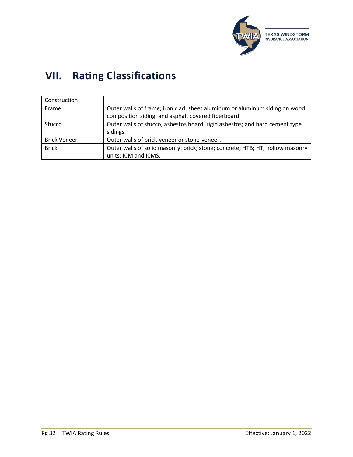

# <span id="page-32-0"></span>**VII. Rating Classifications**

| Construction        |                                                                               |
|---------------------|-------------------------------------------------------------------------------|
| Frame               | Outer walls of frame; iron clad; sheet aluminum or aluminum siding on wood;   |
|                     | composition siding; and asphalt covered fiberboard                            |
| <b>Stucco</b>       | Outer walls of stucco; asbestos board; rigid asbestos; and hard cement type   |
|                     | sidings.                                                                      |
| <b>Brick Veneer</b> | Outer walls of brick-veneer or stone-veneer.                                  |
| <b>Brick</b>        | Outer walls of solid masonry: brick; stone; concrete; HTB; HT; hollow masonry |
|                     | units; ICM and ICMS.                                                          |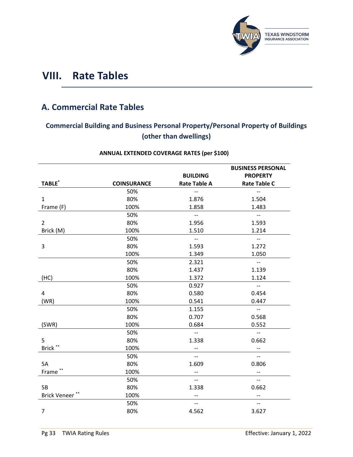

# <span id="page-33-0"></span>**VIII. Rate Tables**

# <span id="page-33-1"></span>**A. Commercial Rate Tables**

## <span id="page-33-2"></span>**Commercial Building and Business Personal Property/Personal Property of Buildings (other than dwellings)**

|                    |                    |                          | <b>BUSINESS PERSONAL</b>  |
|--------------------|--------------------|--------------------------|---------------------------|
|                    |                    | <b>BUILDING</b>          | <b>PROPERTY</b>           |
| TABLE <sup>*</sup> | <b>COINSURANCE</b> | <b>Rate Table A</b>      | <b>Rate Table C</b>       |
|                    | 50%                | $\overline{\phantom{a}}$ | $\overline{\phantom{a}}$  |
| $\mathbf{1}$       | 80%                | 1.876                    | 1.504                     |
| Frame (F)          | 100%               | 1.858                    | 1.483                     |
|                    | 50%                | $\overline{\phantom{a}}$ | $\overline{\phantom{a}}$  |
| $\overline{2}$     | 80%                | 1.956                    | 1.593                     |
| Brick (M)          | 100%               | 1.510                    | 1.214                     |
|                    | 50%                | $\overline{\phantom{m}}$ | $\overline{\phantom{a}}$  |
| 3                  | 80%                | 1.593                    | 1.272                     |
|                    | 100%               | 1.349                    | 1.050                     |
|                    | 50%                | 2.321                    | $\overline{\phantom{a}}$  |
|                    | 80%                | 1.437                    | 1.139                     |
| (HC)               | 100%               | 1.372                    | 1.124                     |
|                    | 50%                | 0.927                    | $\mathbb{H}^{\mathbb{H}}$ |
| 4                  | 80%                | 0.580                    | 0.454                     |
| (WR)               | 100%               | 0.541                    | 0.447                     |
|                    | 50%                | 1.155                    | $\overline{\phantom{a}}$  |
|                    | 80%                | 0.707                    | 0.568                     |
| (SWR)              | 100%               | 0.684                    | 0.552                     |
|                    | 50%                | $\overline{\phantom{a}}$ | $\overline{\phantom{a}}$  |
| 5                  | 80%                | 1.338                    | 0.662                     |
| Brick **           | 100%               | $\overline{\phantom{a}}$ | $\overline{\phantom{a}}$  |
|                    | 50%                | $\overline{\phantom{0}}$ | $- -$                     |
| 5A                 | 80%                | 1.609                    | 0.806                     |
| Frame**            | 100%               |                          |                           |
|                    | 50%                | $-$                      | $-$                       |
| <b>5B</b>          | 80%                | 1.338                    | 0.662                     |
| Brick Veneer**     | 100%               | $\qquad \qquad -$        | --                        |
|                    | 50%                | $\overline{\phantom{a}}$ | $-$                       |
| $\overline{7}$     | 80%                | 4.562                    | 3.627                     |

## **ANNUAL EXTENDED COVERAGE RATES (per \$100)**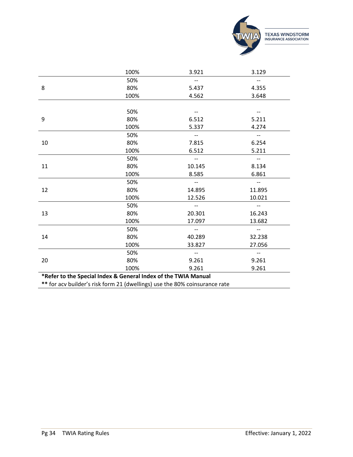

|    | 100%                                                           | 3.921                                               | 3.129                    |
|----|----------------------------------------------------------------|-----------------------------------------------------|--------------------------|
|    | 50%                                                            | $-$                                                 | $\overline{\phantom{a}}$ |
| 8  | 80%                                                            | 5.437                                               | 4.355                    |
|    | 100%                                                           | 4.562                                               | 3.648                    |
|    |                                                                |                                                     |                          |
|    | 50%                                                            |                                                     |                          |
| 9  | 80%                                                            | 6.512                                               | 5.211                    |
|    | 100%                                                           | 5.337                                               | 4.274                    |
|    | 50%                                                            | $\overline{\phantom{a}}$                            | $\overline{\phantom{m}}$ |
| 10 | 80%                                                            | 7.815                                               | 6.254                    |
|    | 100%                                                           | 6.512                                               | 5.211                    |
|    | 50%                                                            | $\overline{\phantom{a}}$                            | $\overline{\phantom{a}}$ |
| 11 | 80%                                                            | 10.145                                              | 8.134                    |
|    | 100%                                                           | 8.585                                               | 6.861                    |
|    | 50%                                                            | $\overline{\phantom{a}}$                            | $\overline{\phantom{a}}$ |
| 12 | 80%                                                            | 14.895                                              | 11.895                   |
|    | 100%                                                           | 12.526                                              | 10.021                   |
|    | 50%                                                            | $\overline{\phantom{a}}$                            | $\overline{\phantom{a}}$ |
| 13 | 80%                                                            | 20.301                                              | 16.243                   |
|    | 100%                                                           | 17.097                                              | 13.682                   |
|    | 50%                                                            | $-$                                                 | $-$                      |
| 14 | 80%                                                            | 40.289                                              | 32.238                   |
|    | 100%                                                           | 33.827                                              | 27.056                   |
|    | 50%                                                            | $\hspace{0.05cm} -\hspace{0.05cm} -\hspace{0.05cm}$ | $\overline{\phantom{a}}$ |
| 20 | 80%                                                            | 9.261                                               | 9.261                    |
|    | 100%                                                           | 9.261                                               | 9.261                    |
|    | *Refer to the Special Index & General Index of the TWIA Manual |                                                     |                          |
|    |                                                                |                                                     |                          |

**\*\*** for acv builder's risk form 21 (dwellings) use the 80% coinsurance rate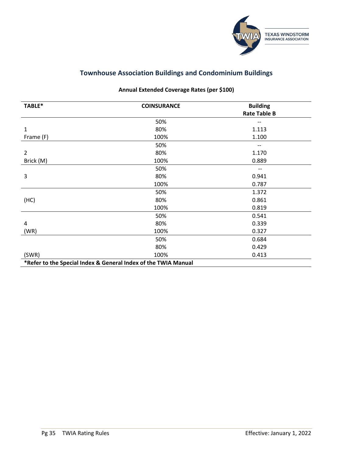

## **Townhouse Association Buildings and Condominium Buildings**

## **Annual Extended Coverage Rates (per \$100)**

<span id="page-35-0"></span>

| TABLE*         | <b>COINSURANCE</b>                                             | <b>Building</b><br><b>Rate Table B</b> |
|----------------|----------------------------------------------------------------|----------------------------------------|
|                |                                                                |                                        |
|                | 50%                                                            | --                                     |
| 1              | 80%                                                            | 1.113                                  |
| Frame (F)      | 100%                                                           | 1.100                                  |
|                | 50%                                                            | $\hspace{0.05cm}$ – $\hspace{0.05cm}$  |
| $\overline{2}$ | 80%                                                            | 1.170                                  |
| Brick (M)      | 100%                                                           | 0.889                                  |
|                | 50%                                                            |                                        |
| 3              | 80%                                                            | 0.941                                  |
|                | 100%                                                           | 0.787                                  |
|                | 50%                                                            | 1.372                                  |
| (HC)           | 80%                                                            | 0.861                                  |
|                | 100%                                                           | 0.819                                  |
|                | 50%                                                            | 0.541                                  |
| 4              | 80%                                                            | 0.339                                  |
| (WR)           | 100%                                                           | 0.327                                  |
|                | 50%                                                            | 0.684                                  |
|                | 80%                                                            | 0.429                                  |
| (SWR)          | 100%                                                           | 0.413                                  |
|                | *Refer to the Special Index & General Index of the TWIA Manual |                                        |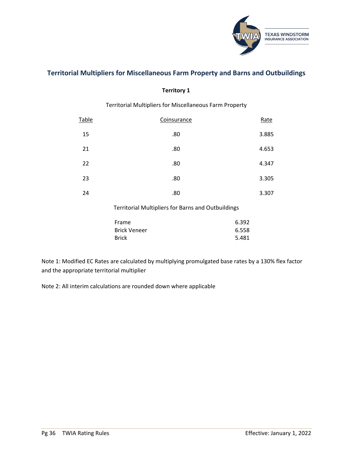

## <span id="page-36-0"></span>**Territorial Multipliers for Miscellaneous Farm Property and Barns and Outbuildings**

#### **Territory 1**

### Territorial Multipliers for Miscellaneous Farm Property

| Table | Coinsurance | Rate  |
|-------|-------------|-------|
| 15    | .80         | 3.885 |
| 21    | .80         | 4.653 |
| 22    | .80         | 4.347 |
| 23    | .80         | 3.305 |
| 24    | .80         | 3.307 |

#### Territorial Multipliers for Barns and Outbuildings

| Frame               | 6.392 |
|---------------------|-------|
| <b>Brick Veneer</b> | 6.558 |
| <b>Brick</b>        | 5.481 |

Note 1: Modified EC Rates are calculated by multiplying promulgated base rates by a 130% flex factor and the appropriate territorial multiplier

Note 2: All interim calculations are rounded down where applicable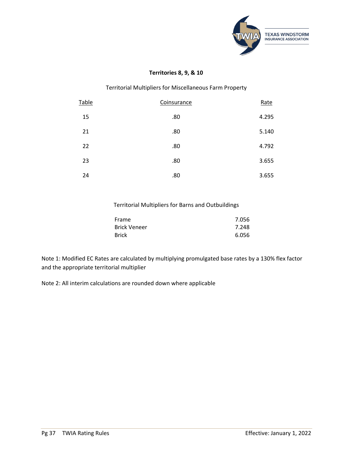

#### **Territories 8, 9, & 10**

#### Territorial Multipliers for Miscellaneous Farm Property

| <b>Table</b> | Coinsurance | Rate  |
|--------------|-------------|-------|
| 15           | .80         | 4.295 |
| 21           | .80         | 5.140 |
| 22           | .80         | 4.792 |
| 23           | .80         | 3.655 |
| 24           | .80         | 3.655 |

#### Territorial Multipliers for Barns and Outbuildings

| Frame        | 7.056 |
|--------------|-------|
| Brick Veneer | 7.248 |
| <b>Brick</b> | 6.056 |

Note 1: Modified EC Rates are calculated by multiplying promulgated base rates by a 130% flex factor and the appropriate territorial multiplier

Note 2: All interim calculations are rounded down where applicable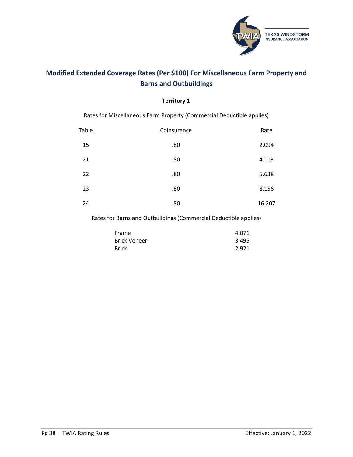

## <span id="page-38-0"></span>**Modified Extended Coverage Rates (Per \$100) For Miscellaneous Farm Property and Barns and Outbuildings**

#### **Territory 1**

Rates for Miscellaneous Farm Property (Commercial Deductible applies)

| Table | Coinsurance | Rate   |
|-------|-------------|--------|
| 15    | .80         | 2.094  |
| 21    | .80         | 4.113  |
| 22    | .80         | 5.638  |
| 23    | .80         | 8.156  |
| 24    | .80         | 16.207 |

Rates for Barns and Outbuildings (Commercial Deductible applies)

| Frame               | 4.071 |
|---------------------|-------|
| <b>Brick Veneer</b> | 3.495 |
| Brick               | 2.921 |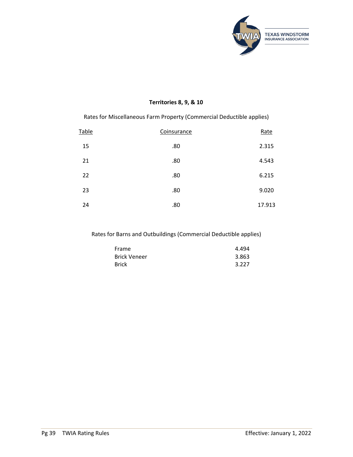

#### **Territories 8, 9, & 10**

Rates for Miscellaneous Farm Property (Commercial Deductible applies)

| Table | Coinsurance | Rate   |
|-------|-------------|--------|
| 15    | .80         | 2.315  |
| 21    | .80         | 4.543  |
| 22    | .80         | 6.215  |
| 23    | .80         | 9.020  |
| 24    | .80         | 17.913 |

Rates for Barns and Outbuildings (Commercial Deductible applies)

| Frame               | 4.494 |
|---------------------|-------|
| <b>Brick Veneer</b> | 3.863 |
| <b>Brick</b>        | 3.227 |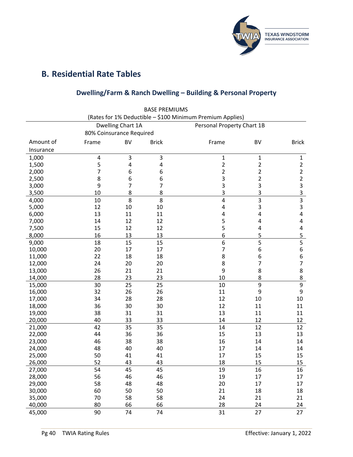

# <span id="page-40-1"></span><span id="page-40-0"></span>**B. Residential Rate Tables**

## **Dwelling/Farm & Ranch Dwelling – Building & Personal Property**

|           |                          |                   | <b>BASE PREMIUMS</b> |                                                           |                |                  |
|-----------|--------------------------|-------------------|----------------------|-----------------------------------------------------------|----------------|------------------|
|           |                          |                   |                      | (Rates for 1% Deductible - \$100 Minimum Premium Applies) |                |                  |
|           |                          | Dwelling Chart 1A |                      | Personal Property Chart 1B                                |                |                  |
|           | 80% Coinsurance Required |                   |                      |                                                           |                |                  |
| Amount of | Frame                    | <b>BV</b>         | <b>Brick</b>         | Frame                                                     | <b>BV</b>      | <b>Brick</b>     |
| Insurance |                          |                   |                      |                                                           |                |                  |
| 1,000     | 4                        | 3                 | 3                    | $\mathbf{1}$                                              | 1              | $\mathbf{1}$     |
| 1,500     | 5                        | 4                 | 4                    | $\overline{2}$                                            | $\overline{2}$ | $\overline{2}$   |
| 2,000     | 7                        | 6                 | 6                    | $\overline{2}$                                            | 2              | $\overline{2}$   |
| 2,500     | 8                        | 6                 | 6                    | 3                                                         | $\overline{2}$ | $\overline{2}$   |
| 3,000     | 9                        | 7                 | 7                    | 3                                                         | 3              | 3                |
| 3,500     | 10                       | 8                 | 8                    | 3                                                         | 3              | 3                |
| 4,000     | 10                       | 8                 | 8                    | 4                                                         | $\overline{3}$ | $\overline{3}$   |
| 5,000     | 12                       | 10                | 10                   | 4                                                         | 3              | 3                |
| 6,000     | 13                       | 11                | 11                   | 4                                                         | 4              | 4                |
| 7,000     | 14                       | 12                | 12                   | 5                                                         | 4              | 4                |
| 7,500     | 15                       | 12                | 12                   | 5                                                         | 4              | 4                |
| 8,000     | 16                       | 13                | 13                   | 6                                                         | 5              | 5                |
| 9,000     | 18                       | 15                | 15                   | 6                                                         | 5              |                  |
| 10,000    | 20                       | 17                | 17                   | 7                                                         | 6              | 6                |
| 11,000    | 22                       | 18                | 18                   | 8                                                         | 6              | 6                |
| 12,000    | 24                       | 20                | 20                   | 8                                                         | 7              | 7                |
| 13,000    | 26                       | 21                | 21                   | 9                                                         | 8              | 8                |
| 14,000    | 28                       | 23                | 23                   | 10                                                        | 8              | 8                |
| 15,000    | 30                       | 25                | 25                   | 10                                                        | 9              | $\boldsymbol{9}$ |
| 16,000    | 32                       | 26                | 26                   | 11                                                        | 9              | 9                |
| 17,000    | 34                       | 28                | 28                   | 12                                                        | 10             | 10               |
| 18,000    | 36                       | 30                | 30                   | 12                                                        | 11             | 11               |
| 19,000    | 38                       | 31                | 31                   | 13                                                        | 11             | 11               |
| 20,000    | 40                       | 33                | 33                   | 14                                                        | 12             | 12               |
| 21,000    | 42                       | 35                | 35                   | 14                                                        | 12             | 12               |
| 22,000    | 44                       | 36                | 36                   | 15                                                        | 13             | 13               |
| 23,000    | 46                       | 38                | 38                   | 16                                                        | 14             | 14               |
| 24,000    | 48                       | 40                | 40                   | 17                                                        | 14             | 14               |
| 25,000    | 50                       | 41                | 41                   | 17                                                        | 15             | 15               |
| 26,000    | 52                       | 43                | 43                   | 18                                                        | 15             | 15               |
| 27,000    | 54                       | 45                | 45                   | 19                                                        | 16             | 16               |
| 28,000    | 56                       | 46                | 46                   | 19                                                        | 17             | 17               |
| 29,000    | 58                       | 48                | 48                   | 20                                                        | 17             | 17               |
| 30,000    | 60                       | 50                | 50                   | 21                                                        | 18             | 18               |
| 35,000    | 70                       | 58                | 58                   | 24                                                        | 21             | 21               |
| 40,000    | 80                       | 66                | 66                   | 28                                                        | 24             | 24               |
| 45,000    | 90                       | 74                | 74                   | 31                                                        | 27             | 27               |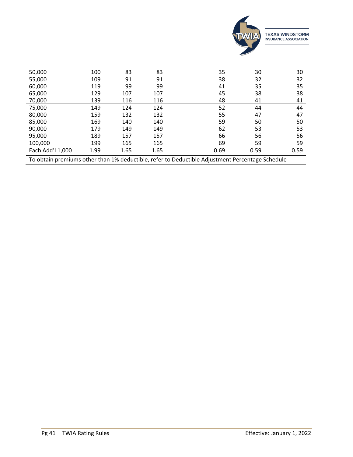

| 50,000                                                                                          | 100  | 83   | 83   | 35   | 30   | 30   |
|-------------------------------------------------------------------------------------------------|------|------|------|------|------|------|
| 55,000                                                                                          | 109  | 91   | 91   | 38   | 32   | 32   |
| 60,000                                                                                          | 119  | 99   | 99   | 41   | 35   | 35   |
| 65,000                                                                                          | 129  | 107  | 107  | 45   | 38   | 38   |
| 70,000                                                                                          | 139  | 116  | 116  | 48   | 41   | 41   |
| 75,000                                                                                          | 149  | 124  | 124  | 52   | 44   | 44   |
| 80,000                                                                                          | 159  | 132  | 132  | 55   | 47   | 47   |
| 85,000                                                                                          | 169  | 140  | 140  | 59   | 50   | 50   |
| 90,000                                                                                          | 179  | 149  | 149  | 62   | 53   | 53   |
| 95,000                                                                                          | 189  | 157  | 157  | 66   | 56   | 56   |
| 100,000                                                                                         | 199  | 165  | 165  | 69   | 59   | 59   |
| Each Add'l 1,000                                                                                | 1.99 | 1.65 | 1.65 | 0.69 | 0.59 | 0.59 |
| To obtain premiums other than 1% deductible, refer to Deductible Adjustment Percentage Schedule |      |      |      |      |      |      |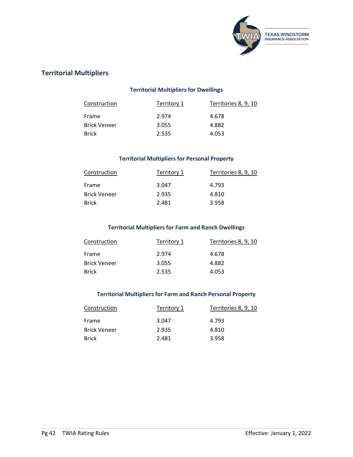

## <span id="page-42-1"></span><span id="page-42-0"></span>**Territorial Multipliers**

### **Territorial Multipliers for Dwellings**

| Construction        | Territory 1 | Territories 8, 9, 10 |
|---------------------|-------------|----------------------|
| Frame               | 2.974       | 4.678                |
| <b>Brick Veneer</b> | 3.055       | 4.882                |
| <b>Brick</b>        | 2.535       | 4.053                |

#### **Territorial Multipliers for Personal Property**

<span id="page-42-2"></span>

| Construction        | Territory 1 | Territories 8, 9, 10 |
|---------------------|-------------|----------------------|
| Frame               | 3.047       | 4.793                |
| <b>Brick Veneer</b> | 2.935       | 4.810                |
| <b>Brick</b>        | 2.481       | 3.958                |

#### **Territorial Multipliers for Farm and Ranch Dwellings**

<span id="page-42-3"></span>

| Construction        | Territory 1 | Territories 8, 9, 10 |
|---------------------|-------------|----------------------|
| Frame               | 2.974       | 4.678                |
| <b>Brick Veneer</b> | 3.055       | 4.882                |
| <b>Brick</b>        | 2.535       | 4.053                |

#### **Territorial Multipliers for Farm and Ranch Personal Property**

<span id="page-42-4"></span>

| Construction        | Territory 1 | Territories 8, 9, 10 |
|---------------------|-------------|----------------------|
| Frame               | 3.047       | 4.793                |
| <b>Brick Veneer</b> | 2.935       | 4.810                |
| <b>Brick</b>        | 2.481       | 3.958                |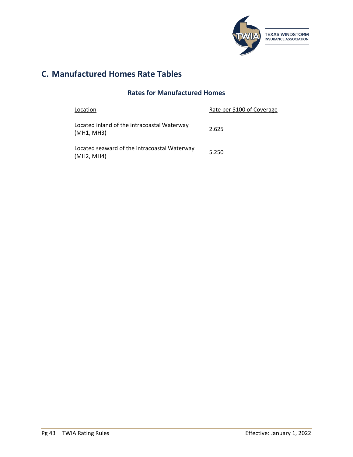

# <span id="page-43-1"></span><span id="page-43-0"></span>**C. Manufactured Homes Rate Tables**

## **Rates for Manufactured Homes**

| Location                                                   | Rate per \$100 of Coverage |
|------------------------------------------------------------|----------------------------|
| Located inland of the intracoastal Waterway<br>(MH1, MH3)  | 2.625                      |
| Located seaward of the intracoastal Waterway<br>(MH2, MH4) | 5.250                      |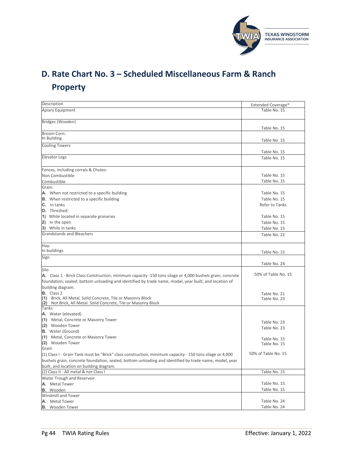

# <span id="page-44-0"></span>**D. Rate Chart No. 3 – Scheduled Miscellaneous Farm & Ranch Property**

| Description                                                                                                                       | Extended Coverage*           |
|-----------------------------------------------------------------------------------------------------------------------------------|------------------------------|
| Apiary Equipment                                                                                                                  | Table No. 15                 |
|                                                                                                                                   |                              |
| Bridges (Wooden)                                                                                                                  |                              |
|                                                                                                                                   | Table No. 15                 |
| Broom Corn:                                                                                                                       |                              |
| In Building                                                                                                                       | Table No. 15                 |
| <b>Cooling Towers</b>                                                                                                             |                              |
|                                                                                                                                   | Table No. 15                 |
| <b>Elevator Legs</b>                                                                                                              | Table No. 15                 |
|                                                                                                                                   |                              |
| Fences, including corrals & Chutes:<br>Non Combustible                                                                            | Table No. 15                 |
| Combustible                                                                                                                       | Table No. 15                 |
| Grain:                                                                                                                            |                              |
| <b>A.</b> When not restricted to a specific building                                                                              | Table No. 15                 |
| <b>B.</b> When restricted to a specific building                                                                                  | Table No. 15                 |
| $C.$ In tanks                                                                                                                     | Refer to Tanks               |
| D. Threshed:                                                                                                                      |                              |
| 1) While located in separate granaries                                                                                            | Table No. 15                 |
| 2) In the open                                                                                                                    | Table No. 15                 |
| 3) While in tanks                                                                                                                 | Table No. 15                 |
| <b>Grandstands and Bleachers</b>                                                                                                  | Table No. 22                 |
|                                                                                                                                   |                              |
| Hay:                                                                                                                              |                              |
| In buildings                                                                                                                      | Table No. 15                 |
| Sign                                                                                                                              |                              |
|                                                                                                                                   | Table No. 24                 |
| Silo                                                                                                                              |                              |
| A. Class 1 - Brick Class Construction, minimum capacity -150 tons silage or 4,000 bushels grain; concrete                         | 50% of Table No. 15          |
| foundation; sealed; bottom unloading and identified by trade name, model, year built, and location of                             |                              |
| building diagram.                                                                                                                 |                              |
| <b>B.</b> Class 2                                                                                                                 | Table No. 21                 |
| (1) Brick, All Metal, Solid Concrete, Tile or Masonry Block<br>Not Brick, All Metal. Solid Concrete, Tile or Masonry Block<br>(2) | Table No. 23                 |
| Tanks                                                                                                                             |                              |
| A. Water (elevated)                                                                                                               |                              |
| (1) Metal, Concrete or Masonry Tower                                                                                              |                              |
| (2) Wooden Tower                                                                                                                  | Table No. 23<br>Table No. 23 |
| <b>B.</b> Water (Ground)                                                                                                          |                              |
| (1) Metal, Concrete or Masonry Tower                                                                                              | Table No. 15                 |
| (2) Wooden Tower                                                                                                                  | Table No. 15                 |
| Grain                                                                                                                             |                              |
| (1) Class I - Grain Tank must be "Brick" class construction, minimum capacity - 150 tons silage or 4,000                          | 50% of Table No. 15          |
| bushels grain, concrete foundation, sealed, bottom unloading and identified by trade name, model, year                            |                              |
| built, and location on building diagram.                                                                                          |                              |
| (2) Class II - All metal & not Class I                                                                                            | Table No. 15                 |
| Water Trough and Reservoir                                                                                                        |                              |
| A. Metal Tower                                                                                                                    | Table No. 15                 |
| <b>B.</b> Wooden                                                                                                                  | Table No. 15                 |
| <b>Windmill and Tower</b>                                                                                                         |                              |
| A. Metal Tower                                                                                                                    | Table No. 24                 |
| <b>B.</b> Wooden Tower                                                                                                            | Table No. 24                 |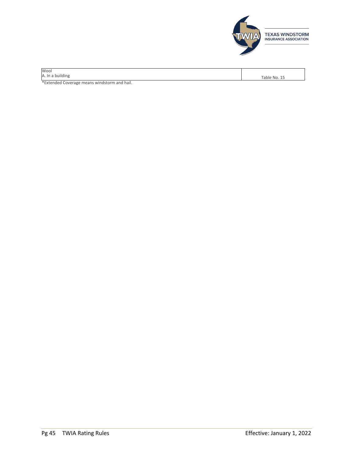

| Wool                                         |              |
|----------------------------------------------|--------------|
| A. In a building                             | Table No. 15 |
| *Extended Coverage means windstorm and hail. |              |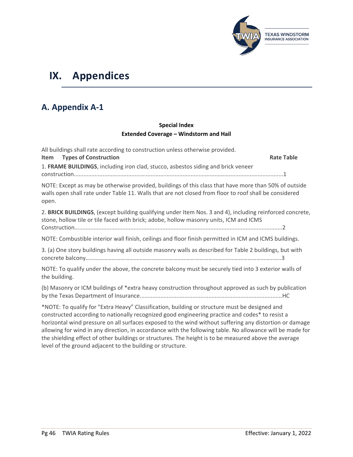

# <span id="page-46-0"></span>**IX. Appendices**

# <span id="page-46-1"></span>**A. Appendix A-1**

### **Special Index Extended Coverage – Windstorm and Hail**

| All buildings shall rate according to construction unless otherwise provided.<br><b>Types of Construction</b><br>Item                                                                                                                                                                                                                                                                                                    | <b>Rate Table</b> |
|--------------------------------------------------------------------------------------------------------------------------------------------------------------------------------------------------------------------------------------------------------------------------------------------------------------------------------------------------------------------------------------------------------------------------|-------------------|
| 1. FRAME BUILDINGS, including iron clad, stucco, asbestos siding and brick veneer                                                                                                                                                                                                                                                                                                                                        |                   |
| NOTE: Except as may be otherwise provided, buildings of this class that have more than 50% of outside<br>walls open shall rate under Table 11. Walls that are not closed from floor to roof shall be considered<br>open.                                                                                                                                                                                                 |                   |
| 2. BRICK BUILDINGS, (except building qualifying under Item Nos. 3 and 4), including reinforced concrete,<br>stone, hollow tile or tile faced with brick; adobe, hollow masonry units, ICM and ICMS                                                                                                                                                                                                                       |                   |
| NOTE: Combustible interior wall finish, ceilings and floor finish permitted in ICM and ICMS buildings.                                                                                                                                                                                                                                                                                                                   |                   |
| 3. (a) One story buildings having all outside masonry walls as described for Table 2 buildings, but with                                                                                                                                                                                                                                                                                                                 |                   |
| NOTE: To qualify under the above, the concrete balcony must be securely tied into 3 exterior walls of<br>the building.                                                                                                                                                                                                                                                                                                   |                   |
| (b) Masonry or ICM buildings of *extra heavy construction throughout approved as such by publication                                                                                                                                                                                                                                                                                                                     |                   |
| *NOTE: To qualify for "Extra Heavy" Classification, building or structure must be designed and<br>constructed according to nationally recognized good engineering practice and codes* to resist a<br>horizontal wind pressure on all surfaces exposed to the wind without suffering any distortion or damage<br>allowing for wind in any direction in accordance with the following table. No allowance will be made for |                   |

allowing for wind in any direction, in accordance with the following table. No allowance will be made for the shielding effect of other buildings or structures. The height is to be measured above the average level of the ground adjacent to the building or structure.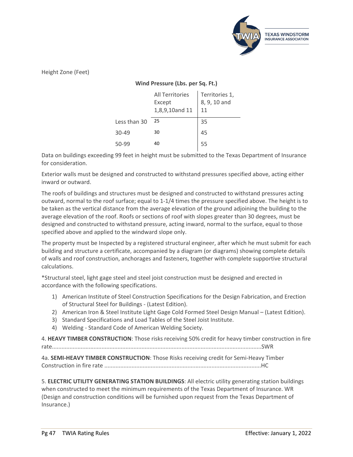

Height Zone (Feet)

#### **Wind Pressure (Lbs. per Sq. Ft.)**

|              | All Territories<br>Except<br>1,8,9,10and 11 | Territories 1,<br>8, 9, 10 and<br>11 |
|--------------|---------------------------------------------|--------------------------------------|
| Less than 30 | 25                                          | 35                                   |
| 30-49        | 30                                          | 45                                   |
| 50-99        | 40                                          | 55                                   |

Data on buildings exceeding 99 feet in height must be submitted to the Texas Department of Insurance for consideration.

Exterior walls must be designed and constructed to withstand pressures specified above, acting either inward or outward.

The roofs of buildings and structures must be designed and constructed to withstand pressures acting outward, normal to the roof surface; equal to 1-1/4 times the pressure specified above. The height is to be taken as the vertical distance from the average elevation of the ground adjoining the building to the average elevation of the roof. Roofs or sections of roof with slopes greater than 30 degrees, must be designed and constructed to withstand pressure, acting inward, normal to the surface, equal to those specified above and applied to the windward slope only.

The property must be Inspected by a registered structural engineer, after which he must submit for each building and structure a certificate, accompanied by a diagram (or diagrams) showing complete details of walls and roof construction, anchorages and fasteners, together with complete supportive structural calculations.

\*Structural steel, light gage steel and steel joist construction must be designed and erected in accordance with the following specifications.

- 1) American Institute of Steel Construction Specifications for the Design Fabrication, and Erection of Structural Steel for Buildings - (Latest Edition).
- 2) American Iron & Steel Institute Light Gage Cold Formed Steel Design Manual (Latest Edition).
- 3) Standard Specifications and Load Tables of the Steel Joist Institute.
- 4) Welding Standard Code of American Welding Society.

4. **HEAVY TIMBER CONSTRUCTION**: Those risksreceiving 50% credit for heavy timber construction in fire rate...................................................................................................................................SWR

4a. **SEMI-HEAVY TIMBER CONSTRUCTION**: Those Risks receiving credit for Semi-Heavy Timber Construction in fire rate ..................................................................................................HC

5. **ELECTRIC UTILITY GENERATING STATION BUILDINGS**: All electric utility generating station buildings when constructed to meet the minimum requirements of the Texas Department of Insurance. WR (Design and construction conditions will be furnished upon request from the Texas Department of Insurance.)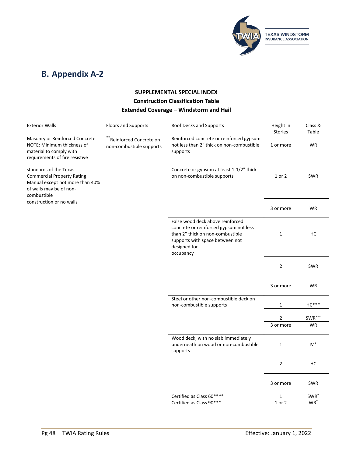

# <span id="page-48-0"></span>**B. Appendix A-2**

## **SUPPLEMENTAL SPECIAL INDEX Construction Classification Table Extended Coverage – Windstorm and Hail**

| <b>Exterior Walls</b>                                                                                                                    | <b>Floors and Supports</b>                               | Roof Decks and Supports                                                                                                                                                        | Height in<br>Stories        | Class &<br>Table           |
|------------------------------------------------------------------------------------------------------------------------------------------|----------------------------------------------------------|--------------------------------------------------------------------------------------------------------------------------------------------------------------------------------|-----------------------------|----------------------------|
| Masonry or Reinforced Concrete<br>NOTE: Minimum thickness of<br>material to comply with<br>requirements of fire resistive                | **<br>Reinforced Concrete on<br>non-combustible supports | Reinforced concrete or reinforced gypsum<br>not less than 2" thick on non-combustible<br>supports                                                                              | 1 or more                   | WR                         |
| standards of the Texas<br><b>Commercial Property Rating</b><br>Manual except not more than 40%<br>of walls may be of non-<br>combustible |                                                          | Concrete or gypsum at least 1-1/2" thick<br>on non-combustible supports                                                                                                        | 1 or 2                      | <b>SWR</b>                 |
| construction or no walls                                                                                                                 |                                                          |                                                                                                                                                                                | 3 or more                   | <b>WR</b>                  |
|                                                                                                                                          |                                                          | False wood deck above reinforced<br>concrete or reinforced gypsum not less<br>than 2" thick on non-combustible<br>supports with space between not<br>designed for<br>occupancy | $\mathbf{1}$                | HC                         |
|                                                                                                                                          |                                                          |                                                                                                                                                                                | $\overline{2}$              | <b>SWR</b>                 |
|                                                                                                                                          |                                                          |                                                                                                                                                                                | 3 or more                   | WR                         |
|                                                                                                                                          |                                                          | Steel or other non-combustible deck on<br>non-combustible supports                                                                                                             | 1                           | $HC***$                    |
|                                                                                                                                          |                                                          |                                                                                                                                                                                | $\overline{2}$<br>3 or more | SWR***<br>WR               |
|                                                                                                                                          |                                                          | Wood deck, with no slab immediately<br>underneath on wood or non-combustible<br>supports                                                                                       | $\mathbf{1}$                | $M^+$                      |
|                                                                                                                                          |                                                          |                                                                                                                                                                                | $\overline{2}$              | HC                         |
|                                                                                                                                          |                                                          |                                                                                                                                                                                | 3 or more                   | <b>SWR</b>                 |
|                                                                                                                                          |                                                          | Certified as Class 60****<br>Certified as Class 90***                                                                                                                          | $\mathbf{1}$<br>1 or 2      | SWR <sup>'</sup><br>$WR^*$ |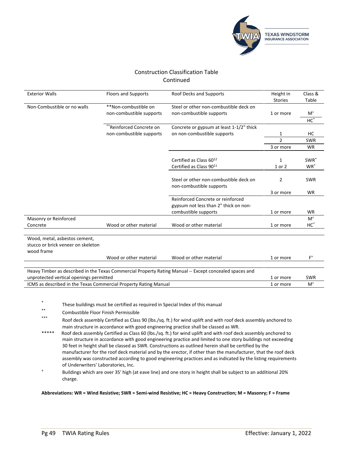

### Construction Classification Table Continued

| <b>Exterior Walls</b>                                                             | <b>Floors and Supports</b>                       | Roof Decks and Supports                                                                                 | Height in<br><b>Stories</b> | Class &<br>Table           |
|-----------------------------------------------------------------------------------|--------------------------------------------------|---------------------------------------------------------------------------------------------------------|-----------------------------|----------------------------|
| Non-Combustible or no walls                                                       | **Non-combustible on<br>non-combustible supports | Steel or other non-combustible deck on<br>non-combustible supports                                      | 1 or more                   | $M^+$<br>$HC^*$            |
|                                                                                   | <sup>'</sup> Reinforced Concrete on              | Concrete or gypsum at least 1-1/2" thick                                                                |                             |                            |
|                                                                                   | non-combustible supports                         | on non-combustible supports                                                                             | 1                           | HC                         |
|                                                                                   |                                                  |                                                                                                         | $\overline{2}$              | <b>SWR</b>                 |
|                                                                                   |                                                  |                                                                                                         | 3 or more                   | <b>WR</b>                  |
|                                                                                   |                                                  | Certified as Class 6012<br>Certified as Class 9011                                                      | $\mathbf{1}$<br>1 or 2      | SWR <sup>*</sup><br>$WR^*$ |
|                                                                                   |                                                  | Steel or other non-combustible deck on<br>non-combustible supports                                      | $\overline{2}$              | <b>SWR</b>                 |
|                                                                                   |                                                  |                                                                                                         | 3 or more                   | <b>WR</b>                  |
|                                                                                   |                                                  | Reinforced Concrete or reinforced<br>gypsum not less than 2" thick on non-<br>combustible supports      | 1 or more                   | <b>WR</b>                  |
| Masonry or Reinforced                                                             |                                                  |                                                                                                         |                             | $M^+$                      |
| Concrete                                                                          | Wood or other material                           | Wood or other material                                                                                  | 1 or more                   | $HC^*$                     |
| Wood, metal, asbestos cement,<br>stucco or brick veneer on skeleton<br>wood frame |                                                  |                                                                                                         |                             |                            |
|                                                                                   | Wood or other material                           | Wood or other material                                                                                  | 1 or more                   | $F^+$                      |
|                                                                                   |                                                  |                                                                                                         |                             |                            |
| unprotected vertical openings permitted                                           |                                                  | Heavy Timber as described in the Texas Commercial Property Rating Manual -- Except concealed spaces and | 1 or more                   | <b>SWR</b>                 |
| ICMS as described in the Texas Commercial Property Rating Manual                  |                                                  |                                                                                                         | 1 or more                   | $M^+$                      |
|                                                                                   |                                                  |                                                                                                         |                             |                            |

\* These buildings must be certified as required in Special Index of this manual<br>\*\*

- \*\* Combustible Floor Finish Permissible
- Roof deck assembly Certified as Class 90 (lbs./sq. ft.) for wind uplift and with roof deck assembly anchored to main structure in accordance with good engineering practice shall be classed as WR.
- Roof deck assembly Certified as Class 60 (lbs./sq. ft.) for wind uplift and with roof deck assembly anchored to main structure in accordance with good engineering practice and limited to one story buildings not exceeding 30 feet in height shall be classed as SWR. Constructions as outlined herein shall be certified by the manufacturer for the roof deck material and by the erector, if other than the manufacturer, that the roof deck assembly was constructed according to good engineering practices and as indicated by the listing requirements of Underwriters' Laboratories, Inc.
- <sup>+</sup> Buildings which are over 35' high (at eave line) and one story in height shall be subject to an additional 20% charge.

**Abbreviations: WR = Wind Resistive; SWR = Semi-wind Resistive; HC = Heavy Construction; M = Masonry; F = Frame**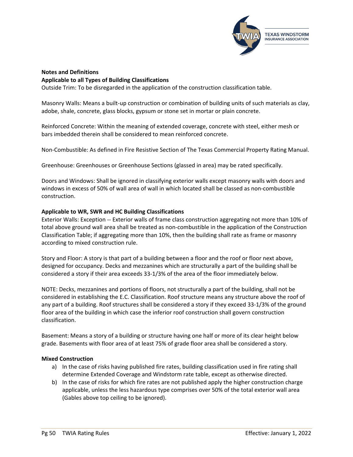

#### **Notes and Definitions Applicable to all Types of Building Classifications**

Outside Trim: To be disregarded in the application of the construction classification table.

Masonry Walls: Means a built-up construction or combination of building units of such materials as clay, adobe, shale, concrete, glass blocks, gypsum or stone set in mortar or plain concrete.

Reinforced Concrete: Within the meaning of extended coverage, concrete with steel, either mesh or bars imbedded therein shall be considered to mean reinforced concrete.

Non-Combustible: As defined in Fire Resistive Section of The Texas Commercial Property Rating Manual.

Greenhouse: Greenhouses or Greenhouse Sections (glassed in area) may be rated specifically.

Doors and Windows: Shall be ignored in classifying exterior walls except masonry walls with doors and windows in excess of 50% of wall area of wall in which located shall be classed as non-combustible construction.

#### **Applicable to WR, SWR and HC Building Classifications**

Exterior Walls: Exception -- Exterior walls of frame class construction aggregating not more than 10% of total above ground wall area shall be treated as non-combustible in the application of the Construction Classification Table; if aggregating more than 10%, then the building shall rate as frame or masonry according to mixed construction rule.

Story and Floor: A story is that part of a building between a floor and the roof or floor next above, designed for occupancy. Decks and mezzanines which are structurally a part of the building shall be considered a story if their area exceeds 33-1/3% of the area of the floor immediately below.

NOTE: Decks, mezzanines and portions of floors, not structurally a part of the building, shall not be considered in establishing the E.C. Classification. Roof structure means any structure above the roof of any part of a building. Roof structures shall be considered a story if they exceed 33-1/3% of the ground floor area of the building in which case the inferior roof construction shall govern construction classification.

Basement: Means a story of a building or structure having one half or more of its clear height below grade. Basements with floor area of at least 75% of grade floor area shall be considered a story.

#### **Mixed Construction**

- a) In the case of risks having published fire rates, building classification used in fire rating shall determine Extended Coverage and Windstorm rate table, except as otherwise directed.
- b) In the case of risks for which fire rates are not published apply the higher construction charge applicable, unless the less hazardous type comprises over 50% of the total exterior wall area (Gables above top ceiling to be ignored).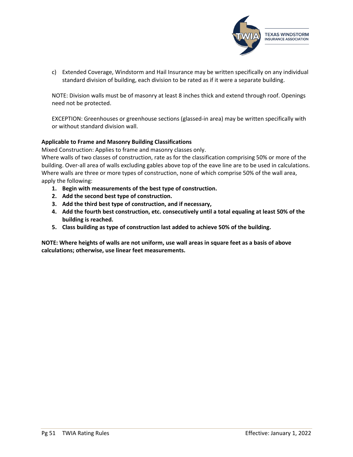

c) Extended Coverage, Windstorm and Hail Insurance may be written specifically on any individual standard division of building, each division to be rated as if it were a separate building.

NOTE: Division walls must be of masonry at least 8 inches thick and extend through roof. Openings need not be protected.

EXCEPTION: Greenhouses or greenhouse sections (glassed-in area) may be written specifically with or without standard division wall.

#### **Applicable to Frame and Masonry Building Classifications**

Mixed Construction: Applies to frame and masonry classes only.

Where walls of two classes of construction, rate as for the classification comprising 50% or more of the building. Over-all area of walls excluding gables above top of the eave line are to be used in calculations. Where walls are three or more types of construction, none of which comprise 50% of the wall area, apply the following:

- **1. Begin with measurements of the best type of construction.**
- **2. Add the second best type of construction.**
- **3. Add the third best type of construction, and if necessary,**
- **4. Add the fourth best construction, etc. consecutively until a total equaling at least 50% of the building is reached.**
- **5. Class building as type of construction last added to achieve 50% of the building.**

**NOTE: Where heights of walls are not uniform, use wall areas in square feet as a basis of above calculations; otherwise, use linear feet measurements.**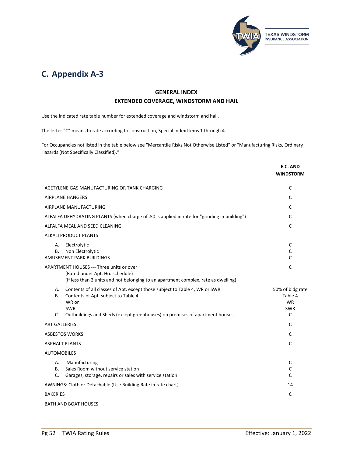

# <span id="page-52-0"></span>**C. Appendix A-3**

### **GENERAL INDEX EXTENDED COVERAGE, WINDSTORM AND HAIL**

Use the indicated rate table number for extended coverage and windstorm and hail.

The letter "C" means to rate according to construction, Special Index Items 1 through 4.

For Occupancies not listed in the table below see "Mercantile Risks Not Otherwise Listed" or "Manufacturing Risks, Ordinary Hazards (Not Specifically Classified)."

|                                                                                                                                                                                                                                    | E.C. AND<br><b>WINDSTORM</b>                                |
|------------------------------------------------------------------------------------------------------------------------------------------------------------------------------------------------------------------------------------|-------------------------------------------------------------|
| ACETYLENE GAS MANUFACTURING OR TANK CHARGING                                                                                                                                                                                       | C                                                           |
| <b>AIRPLANE HANGERS</b>                                                                                                                                                                                                            | $\mathsf{C}$                                                |
| AIRPLANE MANUFACTURING                                                                                                                                                                                                             | C                                                           |
| ALFALFA DEHYDRATING PLANTS (when charge of .50 is applied in rate for "grinding in building")                                                                                                                                      | C                                                           |
| ALFALFA MEAL AND SEED CLEANING                                                                                                                                                                                                     | C                                                           |
| <b>ALKALI PRODUCT PLANTS</b>                                                                                                                                                                                                       |                                                             |
| Electrolytic<br>А.<br>Non Electrolytic<br>В.<br>AMUSEMENT PARK BUILDINGS                                                                                                                                                           | C<br>C<br>C                                                 |
| APARTMENT HOUSES --- Three units or over<br>(Rated under Apt. Ho. schedule)<br>(If less than 2 units and not belonging to an apartment complex, rate as dwelling)                                                                  | C                                                           |
| Contents of all classes of Apt. except those subject to Table 4, WR or SWR<br>А.<br>Contents of Apt. subject to Table 4<br>В.<br>WR or<br>SWR<br>Outbuildings and Sheds (except greenhouses) on premises of apartment houses<br>C. | 50% of bldg rate<br>Table 4<br><b>WR</b><br><b>SWR</b><br>C |
| <b>ART GALLERIES</b>                                                                                                                                                                                                               | C                                                           |
| <b>ASBESTOS WORKS</b>                                                                                                                                                                                                              | C                                                           |
| <b>ASPHALT PLANTS</b>                                                                                                                                                                                                              | C                                                           |
| <b>AUTOMOBILES</b>                                                                                                                                                                                                                 |                                                             |
| Manufacturing<br>А.<br>Sales Room without service station<br>В.<br>C.<br>Garages, storage, repairs or sales with service station                                                                                                   | C<br>C<br>$\mathsf{C}$                                      |
| AWNINGS: Cloth or Detachable (Use Building Rate in rate chart)                                                                                                                                                                     | 14                                                          |
| <b>BAKERIES</b>                                                                                                                                                                                                                    | C                                                           |
| <b>BATH AND BOAT HOUSES</b>                                                                                                                                                                                                        |                                                             |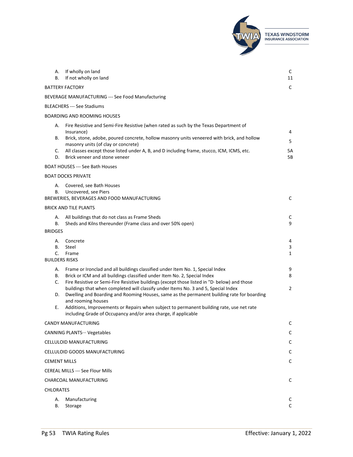

| А.<br>В.         | If wholly on land<br>If not wholly on land                                                                                                                                                                                                                  | C<br>11                |
|------------------|-------------------------------------------------------------------------------------------------------------------------------------------------------------------------------------------------------------------------------------------------------------|------------------------|
|                  | <b>BATTERY FACTORY</b>                                                                                                                                                                                                                                      | $\mathsf{C}$           |
|                  | BEVERAGE MANUFACTURING --- See Food Manufacturing                                                                                                                                                                                                           |                        |
|                  | <b>BLEACHERS --- See Stadiums</b>                                                                                                                                                                                                                           |                        |
|                  | <b>BOARDING AND ROOMING HOUSES</b>                                                                                                                                                                                                                          |                        |
| А.               | Fire Resistive and Semi-Fire Resistive (when rated as such by the Texas Department of                                                                                                                                                                       |                        |
| В.               | Insurance)<br>Brick, stone, adobe, poured concrete, hollow masonry units veneered with brick, and hollow<br>masonry units (of clay or concrete)                                                                                                             | 4<br>5                 |
| C.<br>D.         | All classes except those listed under A, B, and D including frame, stucco, ICM, ICMS, etc.<br>Brick veneer and stone veneer                                                                                                                                 | 5А<br>5В               |
|                  | <b>BOAT HOUSES --- See Bath Houses</b>                                                                                                                                                                                                                      |                        |
|                  | <b>BOAT DOCKS PRIVATE</b>                                                                                                                                                                                                                                   |                        |
| А.<br>В.         | Covered, see Bath Houses<br>Uncovered, see Piers<br>BREWERIES, BEVERAGES AND FOOD MANUFACTURING                                                                                                                                                             | C                      |
|                  | <b>BRICK AND TILE PLANTS</b>                                                                                                                                                                                                                                |                        |
| А.<br>В.         | All buildings that do not class as Frame Sheds<br>Sheds and Kilns thereunder (Frame class and over 50% open)                                                                                                                                                | C<br>9                 |
| <b>BRIDGES</b>   |                                                                                                                                                                                                                                                             |                        |
| А.<br>В.<br>C.   | Concrete<br>Steel<br>Frame                                                                                                                                                                                                                                  | 4<br>3<br>$\mathbf{1}$ |
|                  | <b>BUILDERS RISKS</b>                                                                                                                                                                                                                                       |                        |
| А.<br>В.<br>C.   | Frame or Ironclad and all buildings classified under Item No. 1, Special Index<br>Brick or ICM and all buildings classified under Item No. 2, Special Index<br>Fire Resistive or Semi-Fire Resistive buildings (except those listed in "D· below) and those | 9<br>8                 |
| D.               | buildings that when completed will classify under Items No. 3 and 5, Special Index<br>Dwelling and Boarding and Rooming Houses, same as the permanent building rate for boarding<br>and rooming houses                                                      | $\overline{2}$         |
| Е.               | Additions, Improvements or Repairs when subject to permanent building rate, use net rate<br>including Grade of Occupancy and/or area charge, if applicable                                                                                                  |                        |
|                  | CANDY MANUFACTURING                                                                                                                                                                                                                                         | C                      |
|                  | <b>CANNING PLANTS ··· Vegetables</b>                                                                                                                                                                                                                        | C                      |
|                  | CELLULOID MANUFACTURING                                                                                                                                                                                                                                     | $\mathsf{C}$           |
|                  | CELLULOID GOODS MANUFACTURING                                                                                                                                                                                                                               | C                      |
|                  | <b>CEMENT MILLS</b>                                                                                                                                                                                                                                         | C                      |
|                  | <b>CEREAL MILLS --- See Flour Mills</b>                                                                                                                                                                                                                     |                        |
|                  | CHARCOAL MANUFACTURING                                                                                                                                                                                                                                      | $\mathsf{C}$           |
| <b>CHLORATES</b> |                                                                                                                                                                                                                                                             |                        |
| А.<br>В.         | Manufacturing<br>Storage                                                                                                                                                                                                                                    | C<br>C                 |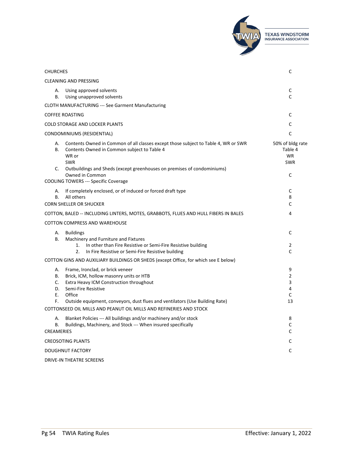|                                                                                                                                                                                                                                                       | <b>TEXAS WINDSTORM</b><br><b>INSURANCE ASSOCIATION</b> |
|-------------------------------------------------------------------------------------------------------------------------------------------------------------------------------------------------------------------------------------------------------|--------------------------------------------------------|
|                                                                                                                                                                                                                                                       |                                                        |
| <b>CHURCHES</b>                                                                                                                                                                                                                                       | C                                                      |
| <b>CLEANING AND PRESSING</b>                                                                                                                                                                                                                          |                                                        |
| Using approved solvents<br>А.<br>В.<br>Using unapproved solvents                                                                                                                                                                                      | C<br>C                                                 |
| <b>CLOTH MANUFACTURING --- See Garment Manufacturing</b>                                                                                                                                                                                              |                                                        |
| <b>COFFEE ROASTING</b>                                                                                                                                                                                                                                | C                                                      |
| <b>COLD STORAGE AND LOCKER PLANTS</b>                                                                                                                                                                                                                 | C                                                      |
| CONDOMINIUMS (RESIDENTIAL)                                                                                                                                                                                                                            | $\mathsf{C}$                                           |
| Contents Owned in Common of all classes except those subject to Table 4, WR or SWR<br>А.<br>Contents Owned in Common subject to Table 4<br>В.<br>WR or<br><b>SWR</b><br>Outbuildings and Sheds (except greenhouses on premises of condominiums)<br>C. | 50% of bldg rate<br>Table 4<br><b>WR</b><br><b>SWR</b> |
| Owned in Common<br><b>COOLING TOWERS --- Specific Coverage</b>                                                                                                                                                                                        | C                                                      |
| If completely enclosed, or of induced or forced draft type<br>А.<br>All others<br>В.<br><b>CORN SHELLER OR SHUCKER</b>                                                                                                                                | C<br>8<br>C                                            |
| COTTON, BALED -- INCLUDING LINTERS, MOTES, GRABBOTS, FLUES AND HULL FIBERS IN BALES                                                                                                                                                                   | 4                                                      |
| COTTON COMPRESS AND WAREHOUSE                                                                                                                                                                                                                         |                                                        |
| <b>Buildings</b><br>А.<br>В.<br>Machinery and Furniture and Fixtures                                                                                                                                                                                  | C                                                      |
| In other than Fire Resistive or Semi-Fire Resistive building<br>1.<br>2.<br>In Fire Resistive or Semi-Fire Resistive building                                                                                                                         | 2<br>C                                                 |
| COTTON GINS AND AUXILIARY BUILDINGS OR SHEDS (except Office, for which see E below)                                                                                                                                                                   |                                                        |
| Frame, Ironclad, or brick veneer<br>А.<br>Brick, ICM, hollow masonry units or HTB<br>В.                                                                                                                                                               | 9<br>$\overline{2}$                                    |
| C.<br>Extra Heavy ICM Construction throughout                                                                                                                                                                                                         | 3                                                      |
| Semi-Fire Resistive<br>D.<br>Office                                                                                                                                                                                                                   | 4<br>$\mathsf{C}$                                      |
| Е.<br>F.<br>Outside equipment, conveyors, dust flues and ventilators (Use Building Rate)<br>COTTONSEED OIL MILLS AND PEANUT OIL MILLS AND REFINERIES AND STOCK                                                                                        | 13                                                     |
| Blanket Policies --- All buildings and/or machinery and/or stock<br>А.                                                                                                                                                                                | 8                                                      |
| Buildings, Machinery, and Stock --- When insured specifically<br>В.                                                                                                                                                                                   | C                                                      |
| <b>CREAMERIES</b>                                                                                                                                                                                                                                     | C                                                      |
| <b>CREOSOTING PLANTS</b>                                                                                                                                                                                                                              | C                                                      |
| <b>DOUGHNUT FACTORY</b>                                                                                                                                                                                                                               | C                                                      |
| DRIVE-IN THEATRE SCREENS                                                                                                                                                                                                                              |                                                        |

 $\sqrt{2}$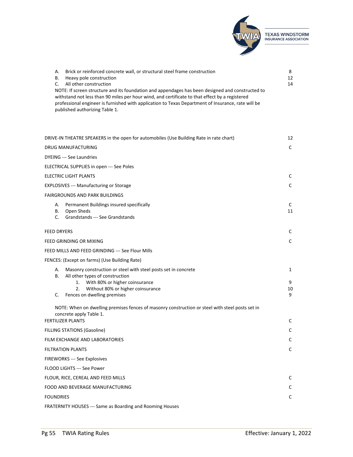

| А. | Brick or reinforced concrete wall, or structural steel frame construction                                                                                                                                                                                                                                                                  | 8  |
|----|--------------------------------------------------------------------------------------------------------------------------------------------------------------------------------------------------------------------------------------------------------------------------------------------------------------------------------------------|----|
| В. | Heavy pole construction                                                                                                                                                                                                                                                                                                                    | 12 |
| C. | All other construction                                                                                                                                                                                                                                                                                                                     | 14 |
|    | NOTE: If screen structure and its foundation and appendages has been designed and constructed to<br>withstand not less than 90 miles per hour wind, and certificate to that effect by a registered<br>professional engineer is furnished with application to Texas Department of Insurance, rate will be<br>published authorizing Table 1. |    |

| DRIVE-IN THEATRE SPEAKERS in the open for automobiles (Use Building Rate in rate chart)                                    | 12           |
|----------------------------------------------------------------------------------------------------------------------------|--------------|
| <b>DRUG MANUFACTURING</b>                                                                                                  | C            |
| <b>DYEING --- See Laundries</b>                                                                                            |              |
| ELECTRICAL SUPPLIES in open --- See Poles                                                                                  |              |
| <b>ELECTRIC LIGHT PLANTS</b>                                                                                               | C            |
| <b>EXPLOSIVES --- Manufacturing or Storage</b>                                                                             | C            |
| <b>FAIRGROUNDS AND PARK BUILDINGS</b>                                                                                      |              |
| Permanent Buildings insured specifically<br>А.<br>Open Sheds<br>В.<br>C.<br>Grandstands --- See Grandstands                | C<br>11      |
| <b>FEED DRYERS</b>                                                                                                         | C            |
| FEED GRINDING OR MIXING                                                                                                    | C            |
| FEED MILLS AND FEED GRINDING --- See Flour Mills                                                                           |              |
| FENCES: (Except on farms) (Use Building Rate)                                                                              |              |
| Masonry construction or steel with steel posts set in concrete<br>А.<br>В.<br>All other types of construction              | 1            |
| With 80% or higher coinsurance<br>1.<br>2.<br>Without 80% or higher coinsurance<br>Fences on dwelling premises<br>C.       | 9<br>10<br>9 |
| NOTE: When on dwelling premises fences of masonry construction or steel with steel posts set in<br>concrete apply Table 1. |              |
| <b>FERTILIZER PLANTS</b>                                                                                                   | C            |
| <b>FILLING STATIONS (Gasoline)</b>                                                                                         | C            |
| FILM EXCHANGE AND LABORATORIES                                                                                             | $\mathsf C$  |
| <b>FILTRATION PLANTS</b>                                                                                                   | C            |
| FIREWORKS --- See Explosives                                                                                               |              |
| FLOOD LIGHTS --- See Power                                                                                                 |              |
| FLOUR, RICE, CEREAL AND FEED MILLS                                                                                         | C            |
| FOOD AND BEVERAGE MANUFACTURING                                                                                            | C            |
| <b>FOUNDRIES</b>                                                                                                           | C            |
| FRATERNITY HOUSES --- Same as Boarding and Rooming Houses                                                                  |              |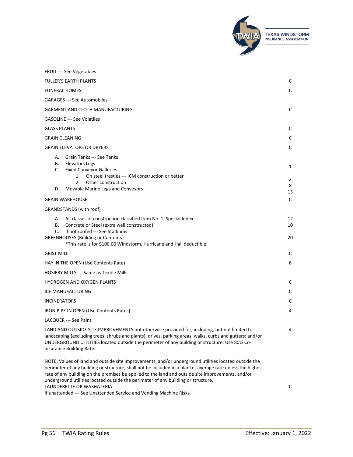

| <b>FRUIT --- See Vegetables</b>                                                                                                                                                                                                                                                                                                                                                                              |                   |
|--------------------------------------------------------------------------------------------------------------------------------------------------------------------------------------------------------------------------------------------------------------------------------------------------------------------------------------------------------------------------------------------------------------|-------------------|
| <b>FULLER'S EARTH PLANTS</b>                                                                                                                                                                                                                                                                                                                                                                                 | C                 |
| <b>FUNERAL HOMES</b>                                                                                                                                                                                                                                                                                                                                                                                         | C                 |
| <b>GARAGES</b> --- See Automobiles                                                                                                                                                                                                                                                                                                                                                                           |                   |
| <b>GARMENT AND CLOTH MANUFACTURING</b>                                                                                                                                                                                                                                                                                                                                                                       | C                 |
| <b>GASOLINE</b> --- See Volatiles                                                                                                                                                                                                                                                                                                                                                                            |                   |
| <b>GLASS PLANTS</b>                                                                                                                                                                                                                                                                                                                                                                                          | C                 |
| <b>GRAIN CLEANING</b>                                                                                                                                                                                                                                                                                                                                                                                        | C                 |
| <b>GRAIN ELEVATORS OR DRYERS</b>                                                                                                                                                                                                                                                                                                                                                                             | C                 |
| Grain Tanks --- See Tanks<br>А.<br>В.<br><b>Elevators Legs</b><br>C.<br><b>Fixed Conveyor Galleries</b><br>On steel trestles --- ICM construction or better<br>1.<br>Other construction<br>2.5<br>Movable Marine Legs and Conveyors<br>D.                                                                                                                                                                    | 1<br>2<br>8<br>13 |
| <b>GRAIN WAREHOUSE</b>                                                                                                                                                                                                                                                                                                                                                                                       | C                 |
| GRANDSTANDS (with roof)                                                                                                                                                                                                                                                                                                                                                                                      |                   |
| All classes of construction classified Item No. 1, Special Index<br>А.<br>В.<br>Concrete or Steel (extra well constructed)<br>If not roofed --- See Stadiums<br>C.<br><b>GREENHOUSES (Building or Contents)</b><br>*This rate is for \$100.00 Windstorm, Hurricane and Hail deductible.                                                                                                                      | 12<br>10<br>20    |
| <b>GRIST MILL</b>                                                                                                                                                                                                                                                                                                                                                                                            | C                 |
| HAY IN THE OPEN (Use Contents Rate)                                                                                                                                                                                                                                                                                                                                                                          | 8                 |
| HOSIERY MILLS --- Same as Textile Mills                                                                                                                                                                                                                                                                                                                                                                      |                   |
| <b>HYDROGEN AND OXYGEN PLANTS</b>                                                                                                                                                                                                                                                                                                                                                                            | C                 |
| ICE MANUFACTURING                                                                                                                                                                                                                                                                                                                                                                                            | C                 |
| <b>INCINERATORS</b>                                                                                                                                                                                                                                                                                                                                                                                          | C                 |
| IRON PIPE IN OPEN (Use Contents Rates)                                                                                                                                                                                                                                                                                                                                                                       | 4                 |
| LACQUER --- See Paint                                                                                                                                                                                                                                                                                                                                                                                        |                   |
| LAND AND OUTSIDE SITE IMPROVEMENTS not otherwise provided for, including, but not limited to<br>landscaping (excluding trees, shrubs and plants), drives, parking areas, walks, curbs and gutters; and/or<br>UNDERGROUND UTILITIES located outside the perimeter of any building or structure. Use 80% Co-<br>insurance Building Rate.                                                                       | 4                 |
| NOTE: Values of land and outside site improvements, and/or underground utilities located outside the<br>perimeter of any building or structure, shall not be included in a blanket average rate unless the highest<br>rate of any building on the premises be applied to the land and outside site improvements, and/or<br>underground utilities located outside the perimeter of any building or structure. |                   |

LAUNDERETTE OR WASHATERIA

If unattended --- See Unattended Service and Vending Machine Risks

C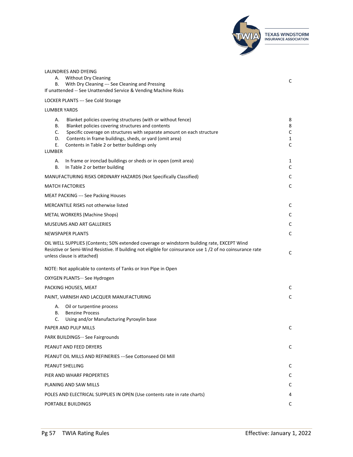

| LAUNDRIES AND DYEING                                                                                                                                                                                                                  |        |
|---------------------------------------------------------------------------------------------------------------------------------------------------------------------------------------------------------------------------------------|--------|
| <b>Without Dry Cleaning</b><br>А.                                                                                                                                                                                                     | С      |
| With Dry Cleaning --- See Cleaning and Pressing<br>В.<br>If unattended -- See Unattended Service & Vending Machine Risks                                                                                                              |        |
|                                                                                                                                                                                                                                       |        |
| LOCKER PLANTS --- See Cold Storage                                                                                                                                                                                                    |        |
| <b>LUMBER YARDS</b>                                                                                                                                                                                                                   |        |
| Blanket policies covering structures (with or without fence)<br>А.<br>Blanket policies covering structures and contents<br>В.                                                                                                         | 8<br>8 |
| C.<br>Specific coverage on structures with separate amount on each structure                                                                                                                                                          | C      |
| Contents in frame buildings, sheds, or yard (omit area)<br>D.                                                                                                                                                                         | 1      |
| Е.<br>Contents in Table 2 or better buildings only<br>LUMBER                                                                                                                                                                          | C      |
|                                                                                                                                                                                                                                       |        |
| А.<br>In frame or ironclad buildings or sheds or in open (omit area)<br>In Table 2 or better building<br>В.                                                                                                                           | 1<br>С |
| MANUFACTURING RISKS ORDINARY HAZARDS (Not Specifically Classified)                                                                                                                                                                    | С      |
| <b>MATCH FACTORIES</b>                                                                                                                                                                                                                | С      |
| <b>MEAT PACKING --- See Packing Houses</b>                                                                                                                                                                                            |        |
| MERCANTILE RISKS not otherwise listed                                                                                                                                                                                                 | С      |
| <b>METAL WORKERS (Machine Shops)</b>                                                                                                                                                                                                  | C      |
| MUSEUMS AND ART GALLERIES                                                                                                                                                                                                             | С      |
| <b>NEWSPAPER PLANTS</b>                                                                                                                                                                                                               | C      |
| OIL WELL SUPPLIES (Contents; 50% extended coverage or windstorm building rate, EXCEPT Wind<br>Resistive or Semi-Wind Resistive. If building not eligible for coinsurance use 1/2 of no coinsurance rate<br>unless clause is attached) | С      |
| NOTE: Not applicable to contents of Tanks or Iron Pipe in Open                                                                                                                                                                        |        |
| OXYGEN PLANTS… See Hydrogen                                                                                                                                                                                                           |        |
| PACKING HOUSES, MEAT                                                                                                                                                                                                                  | C      |
| PAINT, VARNISH AND LACQUER MANUFACTURING                                                                                                                                                                                              | C      |
| А.<br>Oil or turpentine process                                                                                                                                                                                                       |        |
| В.<br><b>Benzine Process</b><br>C.                                                                                                                                                                                                    |        |
| Using and/or Manufacturing Pyroxylin base<br>PAPER AND PULP MILLS                                                                                                                                                                     |        |
| PARK BUILDINGS ··· See Fairgrounds                                                                                                                                                                                                    |        |
| PEANUT AND FEED DRYERS                                                                                                                                                                                                                | C      |
|                                                                                                                                                                                                                                       |        |
| PEANUT OIL MILLS AND REFINERIES ---See Cottonseed Oil Mill                                                                                                                                                                            |        |
| PEANUT SHELLING<br>PIER AND WHARF PROPERTIES                                                                                                                                                                                          | C      |
| PLANING AND SAW MILLS                                                                                                                                                                                                                 | C<br>C |
| POLES AND ELECTRICAL SUPPLIES IN OPEN (Use contents rate in rate charts)                                                                                                                                                              | 4      |
| PORTABLE BUILDINGS                                                                                                                                                                                                                    | C      |
|                                                                                                                                                                                                                                       |        |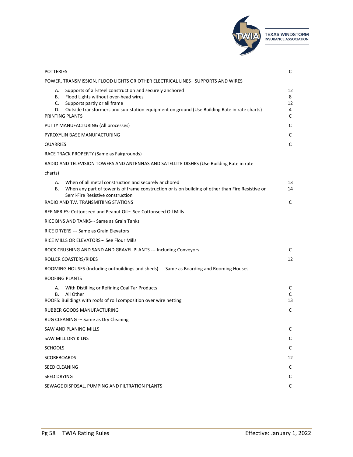

| <b>POTTERIES</b>                                                                                                                                                                                                                                                           |                         |
|----------------------------------------------------------------------------------------------------------------------------------------------------------------------------------------------------------------------------------------------------------------------------|-------------------------|
| POWER, TRANSMISSION, FLOOD LIGHTS OR OTHER ELECTRICAL LINES…SUPPORTS AND WIRES                                                                                                                                                                                             |                         |
| Supports of all-steel construction and securely anchored<br>А.<br>Flood Lights without over-head wires<br>В.<br>C.<br>Supports partly or all frame<br>Outside transformers and sub-station equipment on ground (Use Building Rate in rate charts)<br>D.<br>PRINTING PLANTS | 12<br>8<br>12<br>4<br>C |
| PUTTY MANUFACTURING (All processes)                                                                                                                                                                                                                                        | C                       |
| PYROXYLIN BASE MANUFACTURING                                                                                                                                                                                                                                               | C                       |
| <b>QUARRIES</b>                                                                                                                                                                                                                                                            | C                       |
| RACE TRACK PROPERTY (Same as Fairgrounds)                                                                                                                                                                                                                                  |                         |
| RADIO AND TELEVISION TOWERS AND ANTENNAS AND SATELLITE DISHES (Use Building Rate in rate                                                                                                                                                                                   |                         |
| charts)                                                                                                                                                                                                                                                                    |                         |
| When of all metal construction and securely anchored<br>А.<br>When any part of tower is of frame construction or is on building of other than Fire Resistive or<br>В.<br>Semi-Fire Resistive construction<br>RADIO AND T.V. TRANSMITIING STATIONS                          | 13<br>14<br>C           |
| REFINERIES: Cottonseed and Peanut Oil… See Cottonseed Oil Mills                                                                                                                                                                                                            |                         |
| RICE BINS AND TANKS- Same as Grain Tanks                                                                                                                                                                                                                                   |                         |
| RICE DRYERS --- Same as Grain Elevators                                                                                                                                                                                                                                    |                         |
| RICE MILLS OR ELEVATORS ··· See Flour Mills                                                                                                                                                                                                                                |                         |
| ROCK CRUSHING AND SAND AND GRAVEL PLANTS --- Including Conveyors                                                                                                                                                                                                           | C                       |
| ROLLER COASTERS/RIDES                                                                                                                                                                                                                                                      | 12                      |
| ROOMING HOUSES (Including outbuildings and sheds) --- Same as Boarding and Rooming Houses                                                                                                                                                                                  |                         |
| ROOFING PLANTS                                                                                                                                                                                                                                                             |                         |
| With Distilling or Refining Coal Tar Products<br>А.<br>All Other<br>В.<br>ROOFS: Buildings with roofs of roll composition over wire netting                                                                                                                                | C<br>C<br>13            |
| RUBBER GOODS MANUFACTURING                                                                                                                                                                                                                                                 | C                       |
| RUG CLEANING - ·· Same as Dry Cleaning                                                                                                                                                                                                                                     |                         |
| SAW AND PLANING MILLS                                                                                                                                                                                                                                                      | C                       |
| SAW MILL DRY KILNS                                                                                                                                                                                                                                                         | C                       |
| <b>SCHOOLS</b>                                                                                                                                                                                                                                                             | C                       |
| <b>SCOREBOARDS</b>                                                                                                                                                                                                                                                         | 12                      |
| <b>SEED CLEANING</b>                                                                                                                                                                                                                                                       | C                       |
| SEED DRYING                                                                                                                                                                                                                                                                | C                       |
| SEWAGE DISPOSAL, PUMPING AND FILTRATION PLANTS                                                                                                                                                                                                                             | C                       |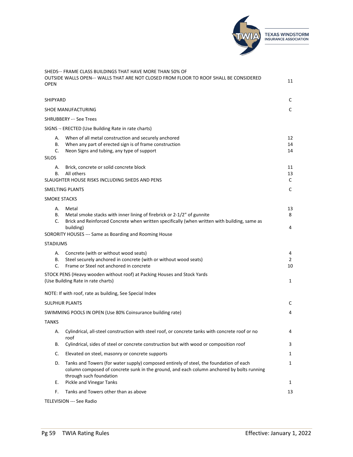

| <b>OPEN</b>                    | SHEDS ··· FRAME CLASS BUILDINGS THAT HAVE MORE THAN 50% OF<br>OUTSIDE WALLS OPEN-·· WALLS THAT ARE NOT CLOSED FROM FLOOR TO ROOF SHALL BE CONSIDERED                                                           | 11             |
|--------------------------------|----------------------------------------------------------------------------------------------------------------------------------------------------------------------------------------------------------------|----------------|
| SHIPYARD                       |                                                                                                                                                                                                                | C              |
|                                | <b>SHOE MANUFACTURING</b>                                                                                                                                                                                      | $\mathsf C$    |
|                                | <b>SHRUBBERY - ·· See Trees</b>                                                                                                                                                                                |                |
|                                | SIGNS -- ERECTED (Use Building Rate in rate charts)                                                                                                                                                            |                |
| А.<br>В.<br>C.<br><b>SILOS</b> | When of all metal construction and securely anchored<br>When any part of erected sign is of frame construction<br>Neon Signs and tubing, any type of support                                                   | 12<br>14<br>14 |
| А.<br>В.                       | Brick, concrete or solid concrete block<br>All others<br>SLAUGHTER HOUSE RISKS INCLUDING SHEDS AND PENS                                                                                                        | 11<br>13<br>C  |
|                                | SMELTING PLANTS                                                                                                                                                                                                | C              |
|                                | <b>SMOKE STACKS</b>                                                                                                                                                                                            |                |
| А.<br>В.<br>C.                 | Metal<br>Metal smoke stacks with inner lining of firebrick or 2-1/2" of gunnite<br>Brick and Reinforced Concrete when written specifically (when written with building, same as                                | 13<br>8        |
|                                | building)<br>SORORITY HOUSES --- Same as Boarding and Rooming House                                                                                                                                            | 4              |
| <b>STADIUMS</b>                |                                                                                                                                                                                                                |                |
| А.<br>В.<br>C.                 | Concrete (with or without wood seats)<br>Steel securely anchored in concrete (with or without wood seats)<br>Frame or Steel not anchored in concrete                                                           | 4<br>2<br>10   |
|                                | STOCK PENS (Heavy wooden without roof) at Packing Houses and Stock Yards<br>(Use Building Rate in rate charts)                                                                                                 | 1              |
|                                | NOTE: If with roof, rate as building, See Special Index                                                                                                                                                        |                |
|                                | <b>SULPHUR PLANTS</b>                                                                                                                                                                                          | C              |
|                                | SWIMMING POOLS IN OPEN (Use 80% Coinsurance building rate)                                                                                                                                                     | 4              |
| <b>TANKS</b>                   |                                                                                                                                                                                                                |                |
| А.                             | Cylindrical, all-steel construction with steel roof, or concrete tanks with concrete roof or no<br>roof                                                                                                        | 4              |
| В.                             | Cylindrical, sides of steel or concrete construction but with wood or composition roof                                                                                                                         | 3              |
| C.                             | Elevated on steel, masonry or concrete supports                                                                                                                                                                | 1              |
| D.                             | Tanks and Towers (for water supply) composed entirely of steel, the foundation of each<br>column composed of concrete sunk in the ground, and each column anchored by bolts running<br>through such foundation | 1              |
| Е.                             | Pickle and Vinegar Tanks                                                                                                                                                                                       | 1              |
| F.                             | Tanks and Towers other than as above                                                                                                                                                                           | 13             |

TELEVISION --- See Radio